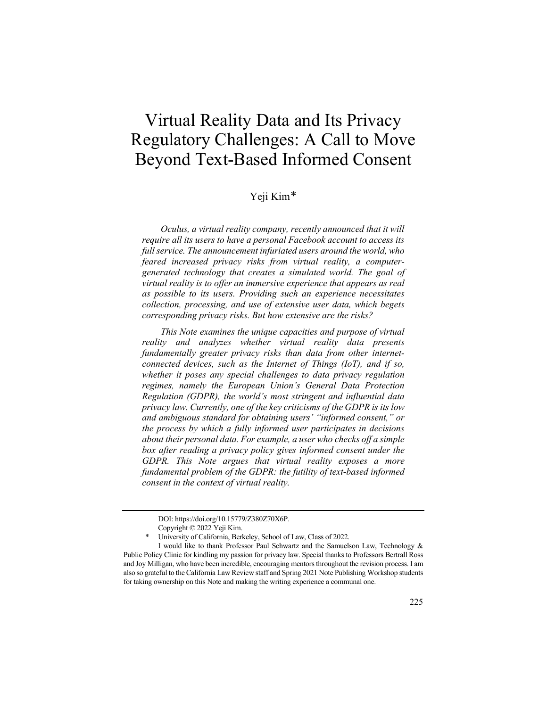# Virtual Reality Data and Its Privacy Regulatory Challenges: A Call to Move Beyond Text-Based Informed Consent

## Yeji Kim[\\*](#page-0-0)

*Oculus, a virtual reality company, recently announced that it will require all its users to have a personal Facebook account to access its full service. The announcement infuriated users around the world, who feared increased privacy risks from virtual reality, a computergenerated technology that creates a simulated world. The goal of virtual reality is to offer an immersive experience that appears as real as possible to its users. Providing such an experience necessitates collection, processing, and use of extensive user data, which begets corresponding privacy risks. But how extensive are the risks?*

*This Note examines the unique capacities and purpose of virtual reality and analyzes whether virtual reality data presents fundamentally greater privacy risks than data from other internetconnected devices, such as the Internet of Things (IoT), and if so, whether it poses any special challenges to data privacy regulation regimes, namely the European Union's General Data Protection Regulation (GDPR), the world's most stringent and influential data privacy law. Currently, one of the key criticisms of the GDPR is its low and ambiguous standard for obtaining users' "informed consent," or the process by which a fully informed user participates in decisions about their personal data. For example, a user who checks off a simple box after reading a privacy policy gives informed consent under the GDPR. This Note argues that virtual reality exposes a more fundamental problem of the GDPR: the futility of text-based informed consent in the context of virtual reality.*

DOI: https://doi.org/10.15779/Z380Z70X6P.

Copyright © 2022 Yeji Kim.

University of California, Berkeley, School of Law, Class of 2022.

<span id="page-0-0"></span>I would like to thank Professor Paul Schwartz and the Samuelson Law, Technology & Public Policy Clinic for kindling my passion for privacy law. Special thanks to Professors Bertrall Ross and Joy Milligan, who have been incredible, encouraging mentors throughout the revision process. I am also so grateful to the California Law Review staff and Spring 2021 Note Publishing Workshop students for taking ownership on this Note and making the writing experience a communal one.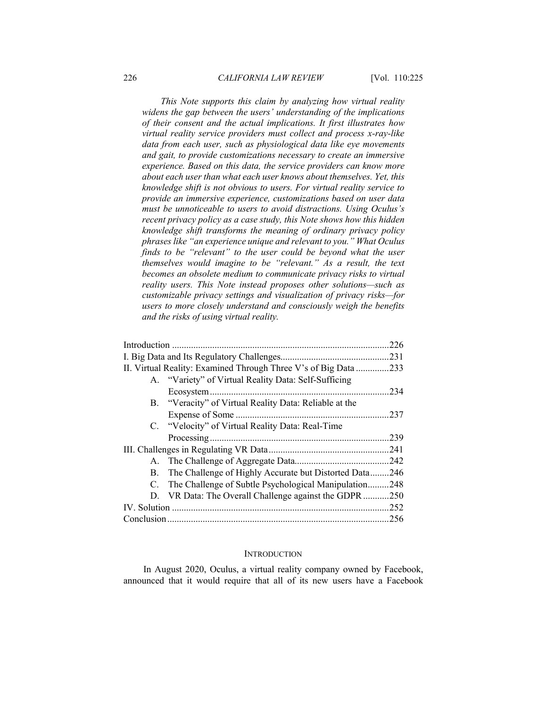*This Note supports this claim by analyzing how virtual reality widens the gap between the users' understanding of the implications of their consent and the actual implications. It first illustrates how virtual reality service providers must collect and process x-ray-like data from each user, such as physiological data like eye movements and gait, to provide customizations necessary to create an immersive experience. Based on this data, the service providers can know more about each user than what each user knows about themselves. Yet, this knowledge shift is not obvious to users. For virtual reality service to provide an immersive experience, customizations based on user data must be unnoticeable to users to avoid distractions. Using Oculus's recent privacy policy as a case study, this Note shows how this hidden knowledge shift transforms the meaning of ordinary privacy policy phrases like "an experience unique and relevant to you." What Oculus finds to be "relevant" to the user could be beyond what the user themselves would imagine to be "relevant." As a result, the text becomes an obsolete medium to communicate privacy risks to virtual reality users. This Note instead proposes other solutions—such as customizable privacy settings and visualization of privacy risks—for users to more closely understand and consciously weigh the benefits and the risks of using virtual reality.*

|                                                             |                                                        | 226  |
|-------------------------------------------------------------|--------------------------------------------------------|------|
|                                                             |                                                        |      |
| II. Virtual Reality: Examined Through Three V's of Big Data |                                                        | .233 |
|                                                             | A. "Variety" of Virtual Reality Data: Self-Sufficing   |      |
|                                                             |                                                        | .234 |
|                                                             | B. "Veracity" of Virtual Reality Data: Reliable at the |      |
|                                                             |                                                        | .237 |
|                                                             | C. "Velocity" of Virtual Reality Data: Real-Time       |      |
|                                                             |                                                        | .239 |
|                                                             |                                                        | 241  |
|                                                             |                                                        | .242 |
| В.                                                          | The Challenge of Highly Accurate but Distorted Data246 |      |
| C.                                                          | The Challenge of Subtle Psychological Manipulation     | .248 |
|                                                             | D. VR Data: The Overall Challenge against the GDPR     | .250 |
|                                                             |                                                        | .252 |
|                                                             |                                                        |      |

#### **INTRODUCTION**

In August 2020, Oculus, a virtual reality company owned by Facebook, announced that it would require that all of its new users have a Facebook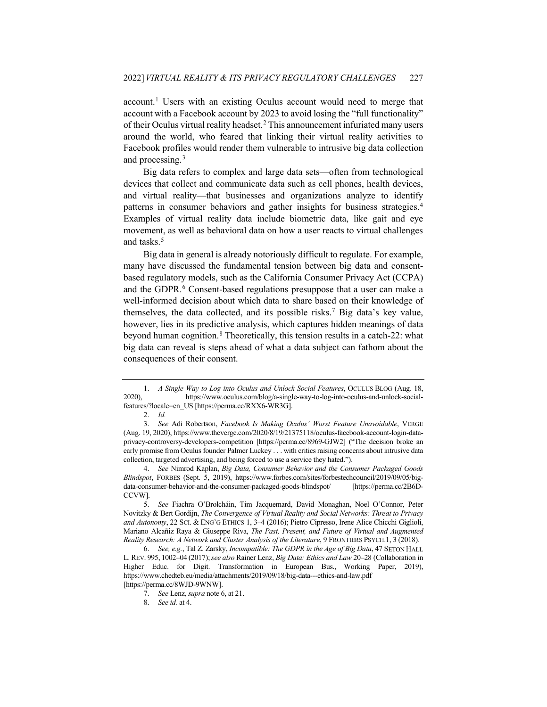account.[1](#page-2-1) Users with an existing Oculus account would need to merge that account with a Facebook account by 2023 to avoid losing the "full functionality" of their Oculus virtual reality headset.[2](#page-2-2) This announcement infuriated many users around the world, who feared that linking their virtual reality activities to Facebook profiles would render them vulnerable to intrusive big data collection and processing.[3](#page-2-3)

Big data refers to complex and large data sets—often from technological devices that collect and communicate data such as cell phones, health devices, and virtual reality—that businesses and organizations analyze to identify patterns in consumer behaviors and gather insights for business strategies.[4](#page-2-4) Examples of virtual reality data include biometric data, like gait and eye movement, as well as behavioral data on how a user reacts to virtual challenges and tasks.[5](#page-2-5)

<span id="page-2-9"></span><span id="page-2-0"></span>Big data in general is already notoriously difficult to regulate. For example, many have discussed the fundamental tension between big data and consentbased regulatory models, such as the California Consumer Privacy Act (CCPA) and the GDPR.<sup>[6](#page-2-6)</sup> Consent-based regulations presuppose that a user can make a well-informed decision about which data to share based on their knowledge of themselves, the data collected, and its possible risks.[7](#page-2-7) Big data's key value, however, lies in its predictive analysis, which captures hidden meanings of data beyond human cognition.[8](#page-2-8) Theoretically, this tension results in a catch-22: what big data can reveal is steps ahead of what a data subject can fathom about the consequences of their consent.

<span id="page-2-1"></span><sup>1.</sup> *A Single Way to Log into Oculus and Unlock Social Features*, OCULUS BLOG (Aug. 18, 2020), https://www.oculus.com/blog/a-single-way-to-log-into-oculus-and-unlock-socialfeatures/?locale=en\_US [https://perma.cc/RXX6-WR3G].

<sup>2.</sup> *Id.*

<span id="page-2-3"></span><span id="page-2-2"></span><sup>3.</sup> *See* Adi Robertson, *Facebook Is Making Oculus' Worst Feature Unavoidable*, VERGE (Aug. 19, 2020), https://www.theverge.com/2020/8/19/21375118/oculus-facebook-account-login-dataprivacy-controversy-developers-competition [https://perma.cc/8969-GJW2] ("The decision broke an early promise from Oculus founder Palmer Luckey . . . with critics raising concerns about intrusive data collection, targeted advertising, and being forced to use a service they hated.").

<span id="page-2-4"></span><sup>4.</sup> *See* Nimrod Kaplan, *Big Data, Consumer Behavior and the Consumer Packaged Goods Blindspot*, FORBES (Sept. 5, 2019), https://www.forbes.com/sites/forbestechcouncil/2019/09/05/bigdata-consumer-behavior-and-the-consumer-packaged-goods-blindspot/ [https://perma.cc/2B6D-CCVW].

<span id="page-2-5"></span><sup>5.</sup> *See* Fiachra O'Brolcháin, Tim Jacquemard, David Monaghan, Noel O'Connor, Peter Novitzky & Bert Gordijn, *The Convergence of Virtual Reality and Social Networks: Threat to Privacy and Autonomy*, 22 SCI. & ENG'G ETHICS 1, 3–4 (2016); Pietro Cipresso, Irene Alice Chicchi Giglioli, Mariano Alcañiz Raya & Giuseppe Riva, *The Past, Present, and Future of Virtual and Augmented Reality Research: A Network and Cluster Analysis of the Literature*, 9 FRONTIERS PSYCH.1, 3 (2018).

<span id="page-2-8"></span><span id="page-2-7"></span><span id="page-2-6"></span><sup>6.</sup> *See, e.g.*, Tal Z. Zarsky, *Incompatible: The GDPR in the Age of Big Data*, 47 SETON HALL L. REV. 995, 1002–04 (2017);*see also* Rainer Lenz, *Big Data: Ethics and Law* 20–28 (Collaboration in Higher Educ. for Digit. Transformation in European Bus., Working Paper, 2019), https://www.chedteb.eu/media/attachments/2019/09/18/big-data---ethics-and-law.pdf [https://perma.cc/8WJD-9WNW].

<sup>7.</sup> *See* Lenz, *supra* not[e 6,](#page-2-0) at 21.

<sup>8.</sup> *See id.* at 4.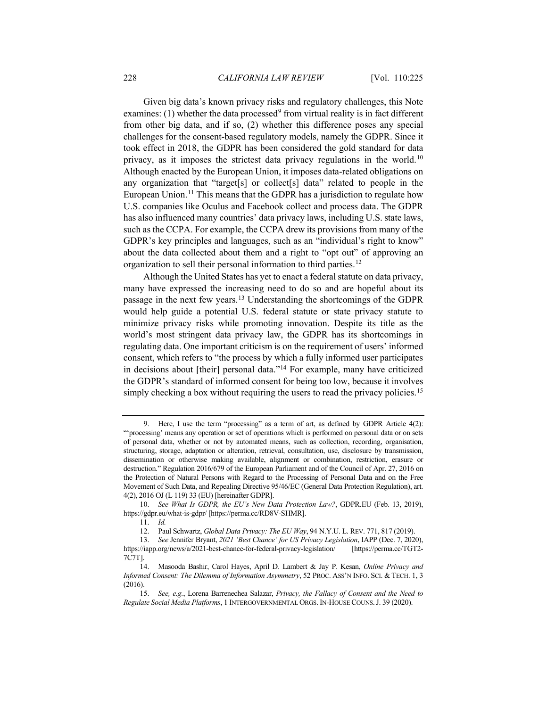<span id="page-3-7"></span>Given big data's known privacy risks and regulatory challenges, this Note examines: (1) whether the data processed<sup>9</sup> from virtual reality is in fact different from other big data, and if so, (2) whether this difference poses any special challenges for the consent-based regulatory models, namely the GDPR. Since it took effect in 2018, the GDPR has been considered the gold standard for data privacy, as it imposes the strictest data privacy regulations in the world.[10](#page-3-1) Although enacted by the European Union, it imposes data-related obligations on any organization that "target[s] or collect[s] data" related to people in the European Union.<sup>11</sup> This means that the GDPR has a jurisdiction to regulate how U.S. companies like Oculus and Facebook collect and process data. The GDPR has also influenced many countries' data privacy laws, including U.S. state laws, such as the CCPA. For example, the CCPA drew its provisions from many of the GDPR's key principles and languages, such as an "individual's right to know" about the data collected about them and a right to "opt out" of approving an organization to sell their personal information to third parties.<sup>[12](#page-3-3)</sup>

Although the United States has yet to enact a federal statute on data privacy, many have expressed the increasing need to do so and are hopeful about its passage in the next few years.[13](#page-3-4) Understanding the shortcomings of the GDPR would help guide a potential U.S. federal statute or state privacy statute to minimize privacy risks while promoting innovation. Despite its title as the world's most stringent data privacy law, the GDPR has its shortcomings in regulating data. One important criticism is on the requirement of users' informed consent, which refers to "the process by which a fully informed user participates in decisions about [their] personal data."[14](#page-3-5) For example, many have criticized the GDPR's standard of informed consent for being too low, because it involves simply checking a box without requiring the users to read the privacy policies.<sup>[15](#page-3-6)</sup>

<span id="page-3-0"></span><sup>9.</sup> Here, I use the term "processing" as a term of art, as defined by GDPR Article 4(2): "'processing' means any operation or set of operations which is performed on personal data or on sets of personal data, whether or not by automated means, such as collection, recording, organisation, structuring, storage, adaptation or alteration, retrieval, consultation, use, disclosure by transmission, dissemination or otherwise making available, alignment or combination, restriction, erasure or destruction." Regulation 2016/679 of the European Parliament and of the Council of Apr. 27, 2016 on the Protection of Natural Persons with Regard to the Processing of Personal Data and on the Free Movement of Such Data, and Repealing Directive 95/46/EC (General Data Protection Regulation), art. 4(2), 2016 OJ (L 119) 33 (EU) [hereinafter GDPR].

<span id="page-3-1"></span><sup>10.</sup> *See What Is GDPR, the EU's New Data Protection Law?*, GDPR.EU (Feb. 13, 2019), https://gdpr.eu/what-is-gdpr/ [https://perma.cc/RD8V-SHMR].

<sup>11.</sup> *Id.*

<sup>12.</sup> Paul Schwartz, *Global Data Privacy: The EU Way*, 94 N.Y.U. L. REV. 771, 817 (2019).

<span id="page-3-4"></span><span id="page-3-3"></span><span id="page-3-2"></span><sup>13.</sup> *See* Jennifer Bryant, *2021 'Best Chance' for US Privacy Legislation*, IAPP (Dec. 7, 2020), https://iapp.org/news/a/2021-best-chance-for-federal-privacy-legislation/ [https://perma.cc/TGT2- 7C7T].

<span id="page-3-5"></span><sup>14.</sup> Masooda Bashir, Carol Hayes, April D. Lambert & Jay P. Kesan, *Online Privacy and Informed Consent: The Dilemma of Information Asymmetry*, 52 PROC. ASS'N INFO. SCI. & TECH. 1, 3 (2016).

<span id="page-3-6"></span><sup>15.</sup> *See, e.g.*, Lorena Barrenechea Salazar, *Privacy, the Fallacy of Consent and the Need to Regulate Social Media Platforms*, 1 INTERGOVERNMENTAL ORGS. IN-HOUSE COUNS.J. 39 (2020).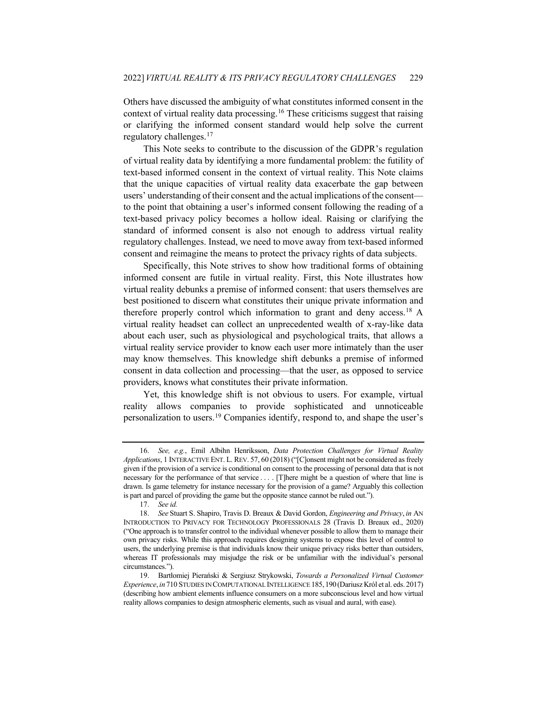Others have discussed the ambiguity of what constitutes informed consent in the context of virtual reality data processing.[16](#page-4-0) These criticisms suggest that raising or clarifying the informed consent standard would help solve the current regulatory challenges[.17](#page-4-1)

This Note seeks to contribute to the discussion of the GDPR's regulation of virtual reality data by identifying a more fundamental problem: the futility of text-based informed consent in the context of virtual reality. This Note claims that the unique capacities of virtual reality data exacerbate the gap between users' understanding of their consent and the actual implications of the consent to the point that obtaining a user's informed consent following the reading of a text-based privacy policy becomes a hollow ideal. Raising or clarifying the standard of informed consent is also not enough to address virtual reality regulatory challenges. Instead, we need to move away from text-based informed consent and reimagine the means to protect the privacy rights of data subjects.

<span id="page-4-5"></span>Specifically, this Note strives to show how traditional forms of obtaining informed consent are futile in virtual reality. First, this Note illustrates how virtual reality debunks a premise of informed consent: that users themselves are best positioned to discern what constitutes their unique private information and therefore properly control which information to grant and deny access[.18](#page-4-2) A virtual reality headset can collect an unprecedented wealth of x-ray-like data about each user, such as physiological and psychological traits, that allows a virtual reality service provider to know each user more intimately than the user may know themselves. This knowledge shift debunks a premise of informed consent in data collection and processing—that the user, as opposed to service providers, knows what constitutes their private information.

<span id="page-4-4"></span>Yet, this knowledge shift is not obvious to users. For example, virtual reality allows companies to provide sophisticated and unnoticeable personalization to users.[19](#page-4-3) Companies identify, respond to, and shape the user's

<span id="page-4-0"></span><sup>16.</sup> *See, e.g.*, Emil Albihn Henriksson, *Data Protection Challenges for Virtual Reality Applications*, 1 INTERACTIVE ENT. L. REV. 57, 60 (2018) ("[C]onsent might not be considered as freely given if the provision of a service is conditional on consent to the processing of personal data that is not necessary for the performance of that service . . . . [T]here might be a question of where that line is drawn. Is game telemetry for instance necessary for the provision of a game? Arguably this collection is part and parcel of providing the game but the opposite stance cannot be ruled out.").

<sup>17.</sup> *See id.*

<span id="page-4-2"></span><span id="page-4-1"></span><sup>18.</sup> *See* Stuart S. Shapiro, Travis D. Breaux & David Gordon, *Engineering and Privacy*, *in* AN INTRODUCTION TO PRIVACY FOR TECHNOLOGY PROFESSIONALS 28 (Travis D. Breaux ed., 2020) ("One approach is to transfer control to the individual whenever possible to allow them to manage their own privacy risks. While this approach requires designing systems to expose this level of control to users, the underlying premise is that individuals know their unique privacy risks better than outsiders, whereas IT professionals may misjudge the risk or be unfamiliar with the individual's personal circumstances.").

<span id="page-4-3"></span><sup>19.</sup> Bartłomiej Pierański & Sergiusz Strykowski, *Towards a Personalized Virtual Customer Experience*, *in* 710 STUDIES IN COMPUTATIONAL INTELLIGENCE 185,190(Dariusz Król et al. eds. 2017) (describing how ambient elements influence consumers on a more subconscious level and how virtual reality allows companies to design atmospheric elements, such as visual and aural, with ease).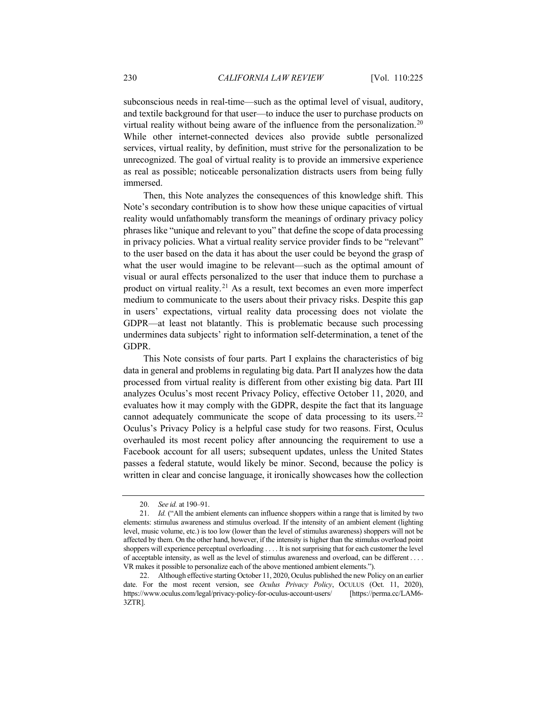subconscious needs in real-time—such as the optimal level of visual, auditory, and textile background for that user—to induce the user to purchase products on virtual reality without being aware of the influence from the personalization.[20](#page-5-0) While other internet-connected devices also provide subtle personalized services, virtual reality, by definition, must strive for the personalization to be unrecognized. The goal of virtual reality is to provide an immersive experience as real as possible; noticeable personalization distracts users from being fully immersed.

Then, this Note analyzes the consequences of this knowledge shift. This Note's secondary contribution is to show how these unique capacities of virtual reality would unfathomably transform the meanings of ordinary privacy policy phrases like "unique and relevant to you" that define the scope of data processing in privacy policies. What a virtual reality service provider finds to be "relevant" to the user based on the data it has about the user could be beyond the grasp of what the user would imagine to be relevant—such as the optimal amount of visual or aural effects personalized to the user that induce them to purchase a product on virtual reality.<sup>[21](#page-5-1)</sup> As a result, text becomes an even more imperfect medium to communicate to the users about their privacy risks. Despite this gap in users' expectations, virtual reality data processing does not violate the GDPR—at least not blatantly. This is problematic because such processing undermines data subjects' right to information self-determination, a tenet of the GDPR.

This Note consists of four parts. Part I explains the characteristics of big data in general and problems in regulating big data. Part II analyzes how the data processed from virtual reality is different from other existing big data. Part III analyzes Oculus's most recent Privacy Policy, effective October 11, 2020, and evaluates how it may comply with the GDPR, despite the fact that its language cannot adequately communicate the scope of data processing to its users.<sup>[22](#page-5-2)</sup> Oculus's Privacy Policy is a helpful case study for two reasons. First, Oculus overhauled its most recent policy after announcing the requirement to use a Facebook account for all users; subsequent updates, unless the United States passes a federal statute, would likely be minor. Second, because the policy is written in clear and concise language, it ironically showcases how the collection

<span id="page-5-3"></span><sup>20.</sup> *See id.* at 190–91.

<span id="page-5-1"></span><span id="page-5-0"></span><sup>21.</sup> *Id.* ("All the ambient elements can influence shoppers within a range that is limited by two elements: stimulus awareness and stimulus overload. If the intensity of an ambient element (lighting level, music volume, etc.) is too low (lower than the level of stimulus awareness) shoppers will not be affected by them. On the other hand, however, if the intensity is higher than the stimulus overload point shoppers will experience perceptual overloading . . . . It is not surprising that for each customer the level of acceptable intensity, as well as the level of stimulus awareness and overload, can be different . . . . VR makes it possible to personalize each of the above mentioned ambient elements.").

<span id="page-5-2"></span><sup>22.</sup> Although effective starting October 11, 2020, Oculus published the new Policy on an earlier date. For the most recent version, see *Oculus Privacy Policy*, OCULUS (Oct. 11, 2020), https://www.oculus.com/legal/privacy-policy-for-oculus-account-users/ [https://perma.cc/LAM6- 3ZTR].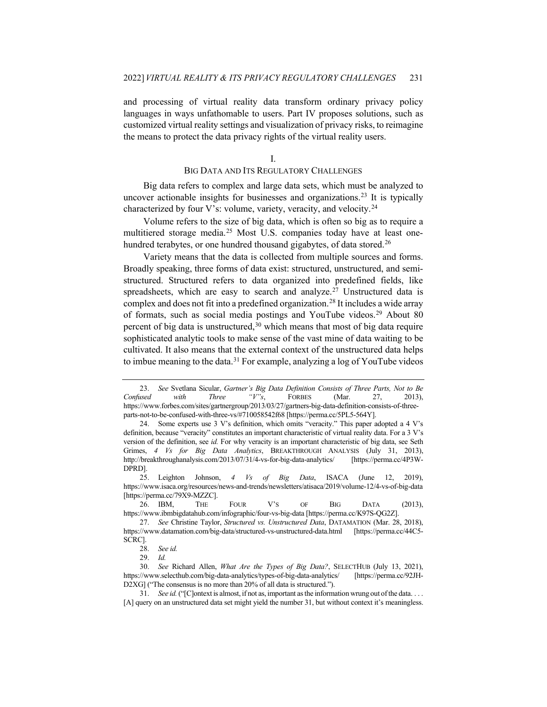and processing of virtual reality data transform ordinary privacy policy languages in ways unfathomable to users. Part IV proposes solutions, such as customized virtual reality settings and visualization of privacy risks, to reimagine the means to protect the data privacy rights of the virtual reality users.

<span id="page-6-10"></span><span id="page-6-9"></span>I.

## BIG DATA AND ITS REGULATORY CHALLENGES

Big data refers to complex and large data sets, which must be analyzed to uncover actionable insights for businesses and organizations.<sup>[23](#page-6-0)</sup> It is typically characterized by four V's: volume, variety, veracity, and velocity.<sup>[24](#page-6-1)</sup>

Volume refers to the size of big data, which is often so big as to require a multitiered storage media.[25](#page-6-2) Most U.S. companies today have at least one-hundred terabytes, or one hundred thousand gigabytes, of data stored.<sup>[26](#page-6-3)</sup>

Variety means that the data is collected from multiple sources and forms. Broadly speaking, three forms of data exist: structured, unstructured, and semistructured. Structured refers to data organized into predefined fields, like spreadsheets, which are easy to search and analyze.<sup>[27](#page-6-4)</sup> Unstructured data is complex and does not fit into a predefined organization.[28](#page-6-5) It includes a wide array of formats, such as social media postings and YouTube videos.[29](#page-6-6) About 80 percent of big data is unstructured,  $30$  which means that most of big data require sophisticated analytic tools to make sense of the vast mine of data waiting to be cultivated. It also means that the external context of the unstructured data helps to imbue meaning to the data.<sup>31</sup> For example, analyzing a log of YouTube videos

<span id="page-6-0"></span><sup>23.</sup> *See* Svetlana Sicular, *Gartner's Big Data Definition Consists of Three Parts, Not to Be Confused with Three "V"s*, FORBES (Mar. 27, 2013), https://www.forbes.com/sites/gartnergroup/2013/03/27/gartners-big-data-definition-consists-of-threeparts-not-to-be-confused-with-three-vs/#710058542f68 [https://perma.cc/5PL5-564Y].

<span id="page-6-1"></span><sup>24.</sup> Some experts use 3 V's definition, which omits "veracity." This paper adopted a 4 V's definition, because "veracity" constitutes an important characteristic of virtual reality data. For a 3 V's version of the definition, see *id.* For why veracity is an important characteristic of big data, see Seth Grimes, *4 Vs for Big Data Analytics*, BREAKTHROUGH ANALYSIS (July 31, 2013), http://breakthroughanalysis.com/2013/07/31/4-vs-for-big-data-analytics/ [https://perma.cc/4P3W-DPRD].

<span id="page-6-2"></span><sup>25.</sup> Leighton Johnson, *4 Vs of Big Data*, ISACA (June 12, 2019), https://www.isaca.org/resources/news-and-trends/newsletters/atisaca/2019/volume-12/4-vs-of-big-data [https://perma.cc/79X9-MZZC].

<span id="page-6-3"></span><sup>26.</sup> IBM, THE FOUR V'S OF BIG DATA (2013), https://www.ibmbigdatahub.com/infographic/four-vs-big-data [https://perma.cc/K97S-QG2Z].

<span id="page-6-4"></span><sup>27.</sup> *See* Christine Taylor, *Structured vs. Unstructured Data*, DATAMATION (Mar. 28, 2018), https://www.datamation.com/big-data/structured-vs-unstructured-data.html [https://perma.cc/44C5- SCRC].

<sup>28.</sup> *See id.*

<sup>29.</sup> *Id.*

<span id="page-6-7"></span><span id="page-6-6"></span><span id="page-6-5"></span><sup>30.</sup> *See* Richard Allen, *What Are the Types of Big Data?*, SELECTHUB (July 13, 2021), https://www.selecthub.com/big-data-analytics/types-of-big-data-analytics/ [https://perma.cc/92JH-D2XG] ("The consensus is no more than 20% of all data is structured.").

<span id="page-6-8"></span><sup>31.</sup> *See id.* ("[C]ontext is almost, if not as, important as the information wrung out of the data. . . . [A] query on an unstructured data set might yield the number 31, but without context it's meaningless.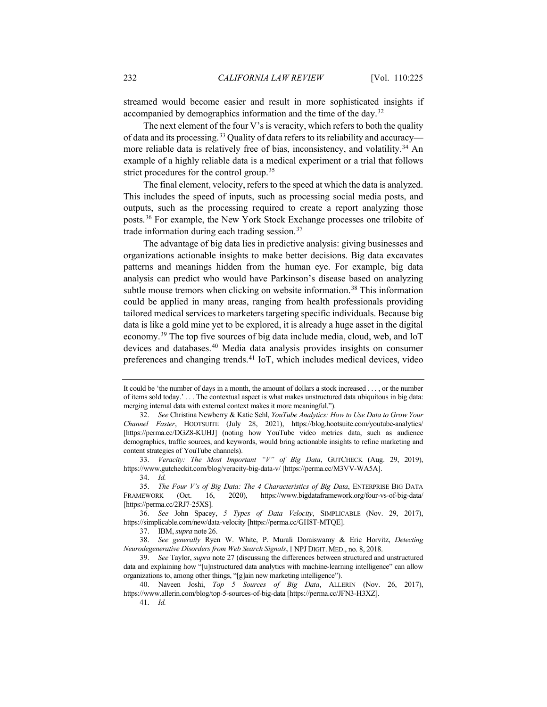streamed would become easier and result in more sophisticated insights if accompanied by demographics information and the time of the day.[32](#page-7-0)

The next element of the four V's is veracity, which refers to both the quality of data and its processing.[33](#page-7-1) Quality of data refers to its reliability and accuracy— more reliable data is relatively free of bias, inconsistency, and volatility.<sup>[34](#page-7-2)</sup> An example of a highly reliable data is a medical experiment or a trial that follows strict procedures for the control group.<sup>[35](#page-7-3)</sup>

The final element, velocity, refers to the speed at which the data is analyzed. This includes the speed of inputs, such as processing social media posts, and outputs, such as the processing required to create a report analyzing those posts.[36](#page-7-4) For example, the New York Stock Exchange processes one trilobite of trade information during each trading session.[37](#page-7-5)

The advantage of big data lies in predictive analysis: giving businesses and organizations actionable insights to make better decisions. Big data excavates patterns and meanings hidden from the human eye. For example, big data analysis can predict who would have Parkinson's disease based on analyzing subtle mouse tremors when clicking on website information.<sup>[38](#page-7-6)</sup> This information could be applied in many areas, ranging from health professionals providing tailored medical services to marketers targeting specific individuals. Because big data is like a gold mine yet to be explored, it is already a huge asset in the digital economy.[39](#page-7-7) The top five sources of big data include media, cloud, web, and IoT devices and databases.[40](#page-7-8) Media data analysis provides insights on consumer preferences and changing trends.[41](#page-7-9) IoT, which includes medical devices, video

<span id="page-7-1"></span>33. *Veracity: The Most Important "V" of Big Data*, GUTCHECK (Aug. 29, 2019), https://www.gutcheckit.com/blog/veracity-big-data-v/ [https://perma.cc/M3VV-WA5A].

34. *Id.*

It could be 'the number of days in a month, the amount of dollars a stock increased . . . , or the number of items sold today.' . . . The contextual aspect is what makes unstructured data ubiquitous in big data: merging internal data with external context makes it more meaningful.").

<span id="page-7-0"></span><sup>32.</sup> *See* Christina Newberry & Katie Sehl, *YouTube Analytics: How to Use Data to Grow Your Channel Faster*, HOOTSUITE (July 28, 2021), https://blog.hootsuite.com/youtube-analytics/ [https://perma.cc/DGZ8-KUHJ] (noting how YouTube video metrics data, such as audience demographics, traffic sources, and keywords, would bring actionable insights to refine marketing and content strategies of YouTube channels).

<span id="page-7-3"></span><span id="page-7-2"></span><sup>35.</sup> *The Four V's of Big Data: The 4 Characteristics of Big Data*, ENTERPRISE BIG DATA FRAMEWORK (Oct. 16, 2020), https://www.bigdataframework.org/four-vs-of-big-data/ [https://perma.cc/2RJ7-25XS].

<span id="page-7-4"></span><sup>36.</sup> *See* John Spacey, *5 Types of Data Velocity*, SIMPLICABLE (Nov. 29, 2017), https://simplicable.com/new/data-velocity [https://perma.cc/GH8T-MTQE].

<sup>37.</sup> IBM, *supra* not[e 26.](#page-6-9)

<span id="page-7-6"></span><span id="page-7-5"></span><sup>38.</sup> *See generally* Ryen W. White, P. Murali Doraiswamy & Eric Horvitz, *Detecting Neurodegenerative Disorders from Web Search Signals*, 1 NPJ DIGIT. MED., no. 8, 2018.

<span id="page-7-7"></span><sup>39.</sup> *See* Taylor, *supra* not[e 27](#page-6-10) (discussing the differences between structured and unstructured data and explaining how "[u]nstructured data analytics with machine-learning intelligence" can allow organizations to, among other things, "[g]ain new marketing intelligence").

<span id="page-7-9"></span><span id="page-7-8"></span><sup>40.</sup> Naveen Joshi, *Top 5 Sources of Big Data*, ALLERIN (Nov. 26, 2017), https://www.allerin.com/blog/top-5-sources-of-big-data [https://perma.cc/JFN3-H3XZ].

<sup>41.</sup> *Id.*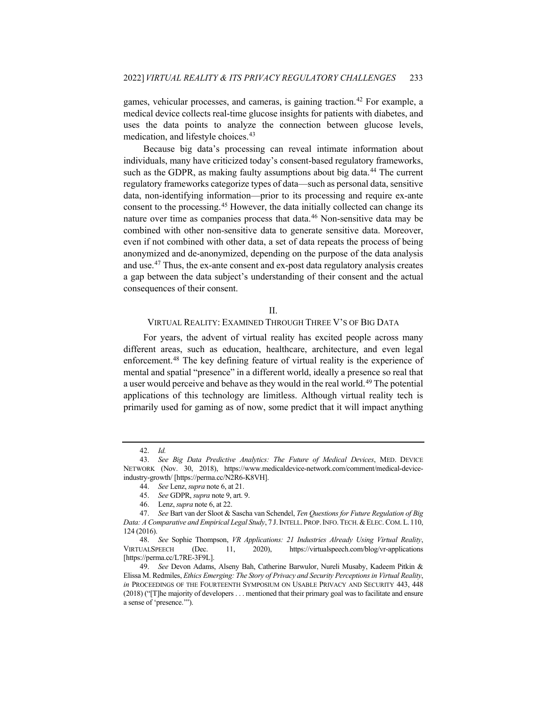games, vehicular processes, and cameras, is gaining traction.<sup>[42](#page-8-0)</sup> For example, a medical device collects real-time glucose insights for patients with diabetes, and uses the data points to analyze the connection between glucose levels, medication, and lifestyle choices.<sup>[43](#page-8-1)</sup>

Because big data's processing can reveal intimate information about individuals, many have criticized today's consent-based regulatory frameworks, such as the GDPR, as making faulty assumptions about big data.<sup>[44](#page-8-2)</sup> The current regulatory frameworks categorize types of data—such as personal data, sensitive data, non-identifying information—prior to its processing and require ex-ante consent to the processing.[45](#page-8-3) However, the data initially collected can change its nature over time as companies process that data.<sup>[46](#page-8-4)</sup> Non-sensitive data may be combined with other non-sensitive data to generate sensitive data. Moreover, even if not combined with other data, a set of data repeats the process of being anonymized and de-anonymized, depending on the purpose of the data analysis and use.[47](#page-8-5) Thus, the ex-ante consent and ex-post data regulatory analysis creates a gap between the data subject's understanding of their consent and the actual consequences of their consent.

#### <span id="page-8-8"></span>II.

#### VIRTUAL REALITY: EXAMINED THROUGH THREE V'S OF BIG DATA

For years, the advent of virtual reality has excited people across many different areas, such as education, healthcare, architecture, and even legal enforcement.[48](#page-8-6) The key defining feature of virtual reality is the experience of mental and spatial "presence" in a different world, ideally a presence so real that a user would perceive and behave as they would in the real world.[49](#page-8-7) The potential applications of this technology are limitless. Although virtual reality tech is primarily used for gaming as of now, some predict that it will impact anything

<sup>42.</sup> *Id.*

<span id="page-8-2"></span><span id="page-8-1"></span><span id="page-8-0"></span><sup>43.</sup> *See Big Data Predictive Analytics: The Future of Medical Devices*, MED. DEVICE NETWORK (Nov. 30, 2018), https://www.medicaldevice-network.com/comment/medical-deviceindustry-growth/ [https://perma.cc/N2R6-K8VH].

<sup>44.</sup> *See* Lenz, *supra* not[e 6,](#page-2-0) at 21.

<sup>45.</sup> *See* GDPR, *supra* not[e 9,](#page-3-7) art. 9.

<sup>46.</sup> Lenz, *supra* not[e 6,](#page-2-0) at 22.

<span id="page-8-5"></span><span id="page-8-4"></span><span id="page-8-3"></span><sup>47.</sup> *See* Bart van der Sloot & Sascha van Schendel, *Ten Questions for Future Regulation of Big Data: A Comparative and Empirical Legal Study*, 7 J.INTELL. PROP.INFO.TECH.&ELEC.COM. L. 110, 124 (2016).

<span id="page-8-6"></span><sup>48.</sup> *See* Sophie Thompson, *VR Applications: 21 Industries Already Using Virtual Reality*, VIRTUALSPEECH (Dec. 11, 2020), https://virtualspeech.com/blog/vr-applications [https://perma.cc/L7RE-3F9L].

<span id="page-8-7"></span><sup>49.</sup> *See* Devon Adams, Alseny Bah, Catherine Barwulor, Nureli Musaby, Kadeem Pitkin & Elissa M. Redmiles, *Ethics Emerging: The Story of Privacy and Security Perceptions in Virtual Reality*, *in* PROCEEDINGS OF THE FOURTEENTH SYMPOSIUM ON USABLE PRIVACY AND SECURITY 443, 448 (2018) ("[T]he majority of developers . . . mentioned that their primary goal was to facilitate and ensure a sense of 'presence.'").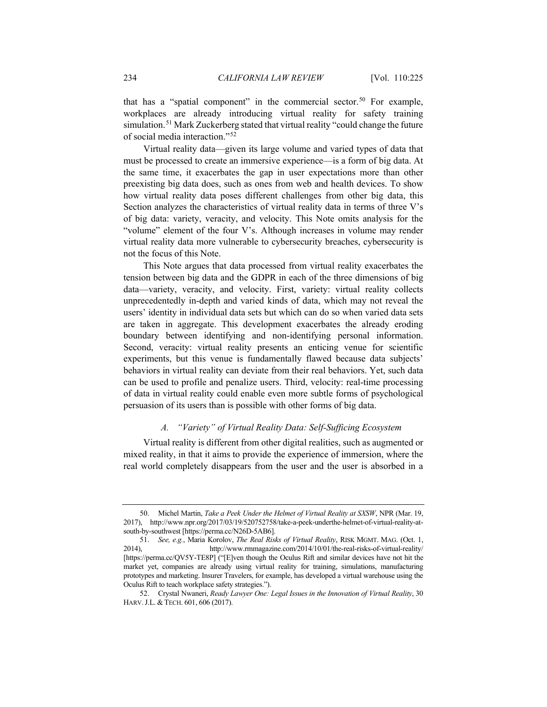that has a "spatial component" in the commercial sector.<sup>[50](#page-9-0)</sup> For example, workplaces are already introducing virtual reality for safety training simulation.[51](#page-9-1) Mark Zuckerberg stated that virtual reality "could change the future of social media interaction."[52](#page-9-2)

Virtual reality data—given its large volume and varied types of data that must be processed to create an immersive experience—is a form of big data. At the same time, it exacerbates the gap in user expectations more than other preexisting big data does, such as ones from web and health devices. To show how virtual reality data poses different challenges from other big data, this Section analyzes the characteristics of virtual reality data in terms of three V's of big data: variety, veracity, and velocity. This Note omits analysis for the "volume" element of the four V's. Although increases in volume may render virtual reality data more vulnerable to cybersecurity breaches, cybersecurity is not the focus of this Note.

This Note argues that data processed from virtual reality exacerbates the tension between big data and the GDPR in each of the three dimensions of big data—variety, veracity, and velocity. First, variety: virtual reality collects unprecedentedly in-depth and varied kinds of data, which may not reveal the users' identity in individual data sets but which can do so when varied data sets are taken in aggregate. This development exacerbates the already eroding boundary between identifying and non-identifying personal information. Second, veracity: virtual reality presents an enticing venue for scientific experiments, but this venue is fundamentally flawed because data subjects' behaviors in virtual reality can deviate from their real behaviors. Yet, such data can be used to profile and penalize users. Third, velocity: real-time processing of data in virtual reality could enable even more subtle forms of psychological persuasion of its users than is possible with other forms of big data.

## *A. "Variety" of Virtual Reality Data: Self-Sufficing Ecosystem*

Virtual reality is different from other digital realities, such as augmented or mixed reality, in that it aims to provide the experience of immersion, where the real world completely disappears from the user and the user is absorbed in a

<span id="page-9-0"></span><sup>50.</sup> Michel Martin, *Take a Peek Under the Helmet of Virtual Reality at SXSW*, NPR (Mar. 19, 2017), http://www.npr.org/2017/03/19/520752758/take-a-peek-underthe-helmet-of-virtual-reality-atsouth-by-southwest [https://perma.cc/N26D-5AB6].

<span id="page-9-1"></span><sup>51.</sup> *See, e.g.*, Maria Korolov, *The Real Risks of Virtual Reality*, RISK MGMT. MAG. (Oct. 1, 2014), http://www.rmmagazine.com/2014/10/01/the-real-risks-of-virtual-reality/ [https://perma.cc/QV5Y-TE8P] ("[E]ven though the Oculus Rift and similar devices have not hit the market yet, companies are already using virtual reality for training, simulations, manufacturing prototypes and marketing. Insurer Travelers, for example, has developed a virtual warehouse using the Oculus Rift to teach workplace safety strategies.").

<span id="page-9-2"></span><sup>52.</sup> Crystal Nwaneri, *Ready Lawyer One: Legal Issues in the Innovation of Virtual Reality*, 30 HARV. J.L. & TECH. 601, 606 (2017).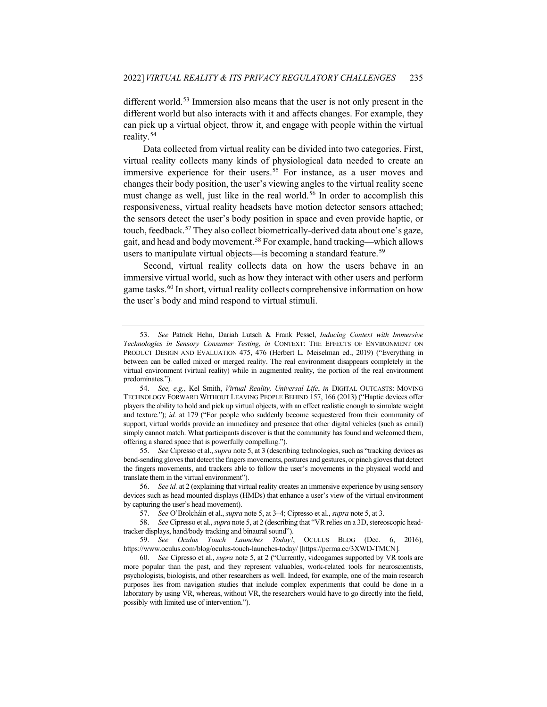<span id="page-10-8"></span>different world.<sup>[53](#page-10-0)</sup> Immersion also means that the user is not only present in the different world but also interacts with it and affects changes. For example, they can pick up a virtual object, throw it, and engage with people within the virtual reality.[54](#page-10-1)

Data collected from virtual reality can be divided into two categories. First, virtual reality collects many kinds of physiological data needed to create an immersive experience for their users.<sup>[55](#page-10-2)</sup> For instance, as a user moves and changes their body position, the user's viewing angles to the virtual reality scene must change as well, just like in the real world.<sup>[56](#page-10-3)</sup> In order to accomplish this responsiveness, virtual reality headsets have motion detector sensors attached; the sensors detect the user's body position in space and even provide haptic, or touch, feedback.<sup>[57](#page-10-4)</sup> They also collect biometrically-derived data about one's gaze, gait, and head and body movement.[58](#page-10-5) For example, hand tracking—which allows users to manipulate virtual objects—is becoming a standard feature.<sup>[59](#page-10-6)</sup>

Second, virtual reality collects data on how the users behave in an immersive virtual world, such as how they interact with other users and perform game tasks.<sup>[60](#page-10-7)</sup> In short, virtual reality collects comprehensive information on how the user's body and mind respond to virtual stimuli.

<span id="page-10-2"></span>55. *See* Cipresso et al., *supra* not[e 5,](#page-2-9) at 3 (describing technologies, such as "tracking devices as bend-sending gloves that detect the fingers movements, postures and gestures, or pinch gloves that detect the fingers movements, and trackers able to follow the user's movements in the physical world and translate them in the virtual environment").

<span id="page-10-0"></span><sup>53.</sup> *See* Patrick Hehn, Dariah Lutsch & Frank Pessel, *Inducing Context with Immersive Technologies in Sensory Consumer Testing*, *in* CONTEXT: THE EFFECTS OF ENVIRONMENT ON PRODUCT DESIGN AND EVALUATION 475, 476 (Herbert L. Meiselman ed., 2019) ("Everything in between can be called mixed or merged reality. The real environment disappears completely in the virtual environment (virtual reality) while in augmented reality, the portion of the real environment predominates.").

<span id="page-10-1"></span><sup>54.</sup> *See, e.g.*, Kel Smith, *Virtual Reality, Universal Life*, *in* DIGITAL OUTCASTS: MOVING TECHNOLOGY FORWARD WITHOUT LEAVING PEOPLE BEHIND 157, 166 (2013) ("Haptic devices offer players the ability to hold and pick up virtual objects, with an effect realistic enough to simulate weight and texture."); *id.* at 179 ("For people who suddenly become sequestered from their community of support, virtual worlds provide an immediacy and presence that other digital vehicles (such as email) simply cannot match. What participants discover is that the community has found and welcomed them, offering a shared space that is powerfully compelling.").

<span id="page-10-3"></span><sup>56.</sup> *See id.* at 2 (explaining that virtual reality creates an immersive experience by using sensory devices such as head mounted displays (HMDs) that enhance a user's view of the virtual environment by capturing the user's head movement).

<sup>57.</sup> *See* O'Brolcháin et al., *supra* not[e 5,](#page-2-9) at 3–4; Cipresso et al., *supra* not[e 5,](#page-2-9) at 3.

<span id="page-10-5"></span><span id="page-10-4"></span><sup>58.</sup> *See* Cipresso et al., *supra* not[e 5,](#page-2-9) at 2 (describing that "VR relies on a 3D, stereoscopic headtracker displays, hand/body tracking and binaural sound").

<span id="page-10-6"></span><sup>59.</sup> *See Oculus Touch Launches Today!*, OCULUS BLOG (Dec. 6, 2016), https://www.oculus.com/blog/oculus-touch-launches-today/ [https://perma.cc/3XWD-TMCN].

<span id="page-10-7"></span><sup>60.</sup> *See* Cipresso et al., *supra* note [5,](#page-2-9) at 2 ("Currently, videogames supported by VR tools are more popular than the past, and they represent valuables, work-related tools for neuroscientists, psychologists, biologists, and other researchers as well. Indeed, for example, one of the main research purposes lies from navigation studies that include complex experiments that could be done in a laboratory by using VR, whereas, without VR, the researchers would have to go directly into the field, possibly with limited use of intervention.").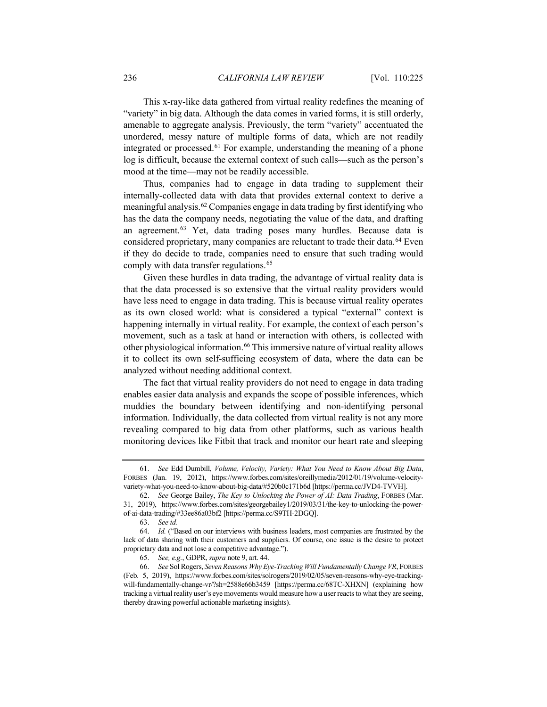This x-ray-like data gathered from virtual reality redefines the meaning of "variety" in big data. Although the data comes in varied forms, it is still orderly, amenable to aggregate analysis. Previously, the term "variety" accentuated the unordered, messy nature of multiple forms of data, which are not readily integrated or processed.<sup>[61](#page-11-0)</sup> For example, understanding the meaning of a phone log is difficult, because the external context of such calls—such as the person's mood at the time—may not be readily accessible.

Thus, companies had to engage in data trading to supplement their internally-collected data with data that provides external context to derive a meaningful analysis.[62](#page-11-1) Companies engage in data trading by first identifying who has the data the company needs, negotiating the value of the data, and drafting an agreement.<sup>[63](#page-11-2)</sup> Yet, data trading poses many hurdles. Because data is considered proprietary, many companies are reluctant to trade their data.<sup>[64](#page-11-3)</sup> Even if they do decide to trade, companies need to ensure that such trading would comply with data transfer regulations.<sup>[65](#page-11-4)</sup>

Given these hurdles in data trading, the advantage of virtual reality data is that the data processed is so extensive that the virtual reality providers would have less need to engage in data trading. This is because virtual reality operates as its own closed world: what is considered a typical "external" context is happening internally in virtual reality. For example, the context of each person's movement, such as a task at hand or interaction with others, is collected with other physiological information.[66](#page-11-5) This immersive nature of virtual reality allows it to collect its own self-sufficing ecosystem of data, where the data can be analyzed without needing additional context.

<span id="page-11-6"></span>The fact that virtual reality providers do not need to engage in data trading enables easier data analysis and expands the scope of possible inferences, which muddies the boundary between identifying and non-identifying personal information. Individually, the data collected from virtual reality is not any more revealing compared to big data from other platforms, such as various health monitoring devices like Fitbit that track and monitor our heart rate and sleeping

<span id="page-11-0"></span><sup>61.</sup> *See* Edd Dumbill, *Volume, Velocity, Variety: What You Need to Know About Big Data*, FORBES (Jan. 19, 2012), https://www.forbes.com/sites/oreillymedia/2012/01/19/volume-velocityvariety-what-you-need-to-know-about-big-data/#520b0c171b6d [https://perma.cc/JVD4-TVVH].

<span id="page-11-1"></span><sup>62.</sup> *See* George Bailey, *The Key to Unlocking the Power of AI: Data Trading*, FORBES (Mar. 31, 2019), https://www.forbes.com/sites/georgebailey1/2019/03/31/the-key-to-unlocking-the-powerof-ai-data-trading/#33ee86a03bf2 [https://perma.cc/S9TH-2DGQ].

<sup>63.</sup> *See id.*

<span id="page-11-3"></span><span id="page-11-2"></span><sup>64.</sup> *Id.* ("Based on our interviews with business leaders, most companies are frustrated by the lack of data sharing with their customers and suppliers. Of course, one issue is the desire to protect proprietary data and not lose a competitive advantage.").

<sup>65.</sup> *See, e.g.*, GDPR, *supra* not[e 9,](#page-3-7) art. 44.

<span id="page-11-5"></span><span id="page-11-4"></span><sup>66.</sup> *See* Sol Rogers, *Seven Reasons Why Eye-Tracking Will Fundamentally Change VR*, FORBES (Feb. 5, 2019), https://www.forbes.com/sites/solrogers/2019/02/05/seven-reasons-why-eye-trackingwill-fundamentally-change-vr/?sh=2588e66b3459 [https://perma.cc/68TC-XHXN] (explaining how tracking a virtual reality user's eye movements would measure how a user reacts to what they are seeing, thereby drawing powerful actionable marketing insights).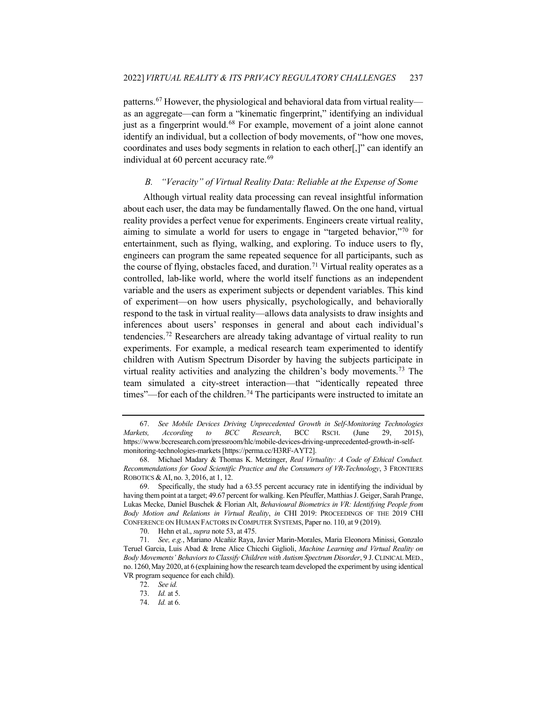patterns.[67](#page-12-0) However, the physiological and behavioral data from virtual reality as an aggregate—can form a "kinematic fingerprint," identifying an individual just as a fingerprint would.<sup>[68](#page-12-1)</sup> For example, movement of a joint alone cannot identify an individual, but a collection of body movements, of "how one moves, coordinates and uses body segments in relation to each other[,]" can identify an individual at 60 percent accuracy rate.<sup>[69](#page-12-2)</sup>

## <span id="page-12-8"></span>*B. "Veracity" of Virtual Reality Data: Reliable at the Expense of Some*

Although virtual reality data processing can reveal insightful information about each user, the data may be fundamentally flawed. On the one hand, virtual reality provides a perfect venue for experiments. Engineers create virtual reality, aiming to simulate a world for users to engage in "targeted behavior,"[70](#page-12-3) for entertainment, such as flying, walking, and exploring. To induce users to fly, engineers can program the same repeated sequence for all participants, such as the course of flying, obstacles faced, and duration.<sup>[71](#page-12-4)</sup> Virtual reality operates as a controlled, lab-like world, where the world itself functions as an independent variable and the users as experiment subjects or dependent variables. This kind of experiment—on how users physically, psychologically, and behaviorally respond to the task in virtual reality—allows data analysists to draw insights and inferences about users' responses in general and about each individual's tendencies.[72](#page-12-5) Researchers are already taking advantage of virtual reality to run experiments. For example, a medical research team experimented to identify children with Autism Spectrum Disorder by having the subjects participate in virtual reality activities and analyzing the children's body movements.<sup>[73](#page-12-6)</sup> The team simulated a city-street interaction—that "identically repeated three times"—for each of the children.<sup>[74](#page-12-7)</sup> The participants were instructed to imitate an

<span id="page-12-0"></span><sup>67.</sup> *See Mobile Devices Driving Unprecedented Growth in Self-Monitoring Technologies Markets, According to BCC Research*, BCC RSCH. (June 29, 2015), https://www.bccresearch.com/pressroom/hlc/mobile-devices-driving-unprecedented-growth-in-selfmonitoring-technologies-markets [https://perma.cc/H3RF-AYT2].

<span id="page-12-1"></span><sup>68.</sup> Michael Madary & Thomas K. Metzinger, *Real Virtuality: A Code of Ethical Conduct. Recommendations for Good Scientific Practice and the Consumers of VR-Technology*, 3 FRONTIERS ROBOTICS & AI, no. 3, 2016, at 1, 12.

<span id="page-12-2"></span><sup>69.</sup> Specifically, the study had a 63.55 percent accuracy rate in identifying the individual by having them point at a target; 49.67 percent for walking. Ken Pfeuffer, Matthias J. Geiger, Sarah Prange, Lukas Mecke, Daniel Buschek & Florian Alt, *Behavioural Biometrics in VR: Identifying People from Body Motion and Relations in Virtual Reality*, *in* CHI 2019: PROCEEDINGS OF THE 2019 CHI CONFERENCE ON HUMAN FACTORS IN COMPUTER SYSTEMS, Paper no. 110, at 9 (2019).

<sup>70.</sup> Hehn et al., *supra* not[e 53,](#page-10-8) at 475.

<span id="page-12-7"></span><span id="page-12-6"></span><span id="page-12-5"></span><span id="page-12-4"></span><span id="page-12-3"></span><sup>71.</sup> *See, e.g.*, Mariano Alcañiz Raya, Javier Marin-Morales, Maria Eleonora Minissi, Gonzalo Teruel Garcia, Luis Abad & Irene Alice Chicchi Giglioli, *Machine Learning and Virtual Reality on Body Movements' Behaviors to Classify Children with Autism Spectrum Disorder*, 9 J.CLINICAL MED., no. 1260,May 2020, at 6 (explaining how the research team developed the experiment by using identical VR program sequence for each child).

<sup>72.</sup> *See id.*

<sup>73.</sup> *Id.* at 5.

<sup>74.</sup> *Id.* at 6.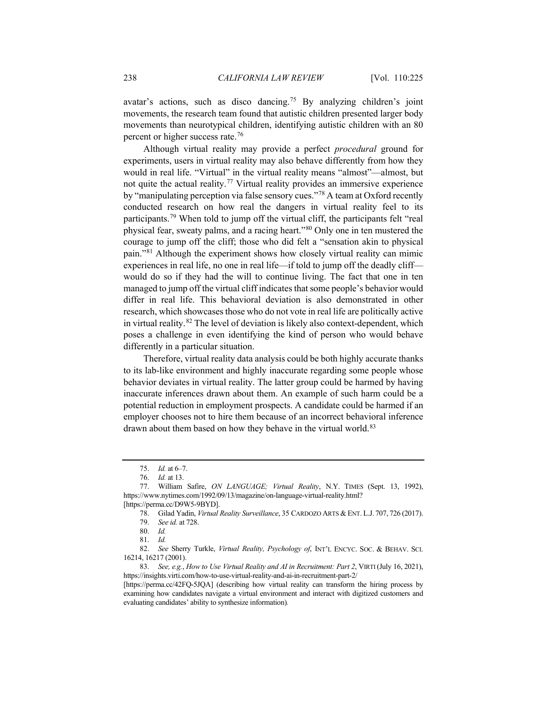avatar's actions, such as disco dancing.[75](#page-13-0) By analyzing children's joint movements, the research team found that autistic children presented larger body movements than neurotypical children, identifying autistic children with an 80 percent or higher success rate.[76](#page-13-1)

Although virtual reality may provide a perfect *procedural* ground for experiments, users in virtual reality may also behave differently from how they would in real life. "Virtual" in the virtual reality means "almost"—almost, but not quite the actual reality.<sup>[77](#page-13-2)</sup> Virtual reality provides an immersive experience by "manipulating perception via false sensory cues."[78](#page-13-3) A team at Oxford recently conducted research on how real the dangers in virtual reality feel to its participants.[79](#page-13-4) When told to jump off the virtual cliff, the participants felt "real physical fear, sweaty palms, and a racing heart.["80](#page-13-5) Only one in ten mustered the courage to jump off the cliff; those who did felt a "sensation akin to physical pain."[81](#page-13-6) Although the experiment shows how closely virtual reality can mimic experiences in real life, no one in real life—if told to jump off the deadly cliff would do so if they had the will to continue living. The fact that one in ten managed to jump off the virtual cliff indicates that some people's behavior would differ in real life. This behavioral deviation is also demonstrated in other research, which showcases those who do not vote in real life are politically active in virtual reality.[82](#page-13-7) The level of deviation is likely also context-dependent, which poses a challenge in even identifying the kind of person who would behave differently in a particular situation.

Therefore, virtual reality data analysis could be both highly accurate thanks to its lab-like environment and highly inaccurate regarding some people whose behavior deviates in virtual reality. The latter group could be harmed by having inaccurate inferences drawn about them. An example of such harm could be a potential reduction in employment prospects. A candidate could be harmed if an employer chooses not to hire them because of an incorrect behavioral inference drawn about them based on how they behave in the virtual world.<sup>[83](#page-13-8)</sup>

<span id="page-13-9"></span><sup>75.</sup> *Id.* at 6–7.

<sup>76.</sup> *Id.* at 13.

<span id="page-13-3"></span><span id="page-13-2"></span><span id="page-13-1"></span><span id="page-13-0"></span><sup>77.</sup> William Safire, *ON LANGUAGE; Virtual Reality*, N.Y. TIMES (Sept. 13, 1992), https://www.nytimes.com/1992/09/13/magazine/on-language-virtual-reality.html? [https://perma.cc/D9W5-9BYD].

<sup>78.</sup> Gilad Yadin, *Virtual Reality Surveillance*, 35 CARDOZO ARTS & ENT. L.J. 707, 726 (2017).

<sup>79.</sup> *See id.* at 728.

<sup>80.</sup> *Id.*

<sup>81.</sup> *Id.*

<span id="page-13-7"></span><span id="page-13-6"></span><span id="page-13-5"></span><span id="page-13-4"></span><sup>82.</sup> *See* Sherry Turkle, *Virtual Reality, Psychology of*, INT'L ENCYC. SOC. & BEHAV. SCI. 16214, 16217 (2001).

<span id="page-13-8"></span><sup>83.</sup> *See, e.g.*, *How to Use Virtual Reality and AI in Recruitment: Part 2*, VIRTI (July 16, 2021), https://insights.virti.com/how-to-use-virtual-reality-and-ai-in-recruitment-part-2/

<sup>[</sup>https://perma.cc/42FQ-5JQA] (describing how virtual reality can transform the hiring process by examining how candidates navigate a virtual environment and interact with digitized customers and evaluating candidates' ability to synthesize information)*.*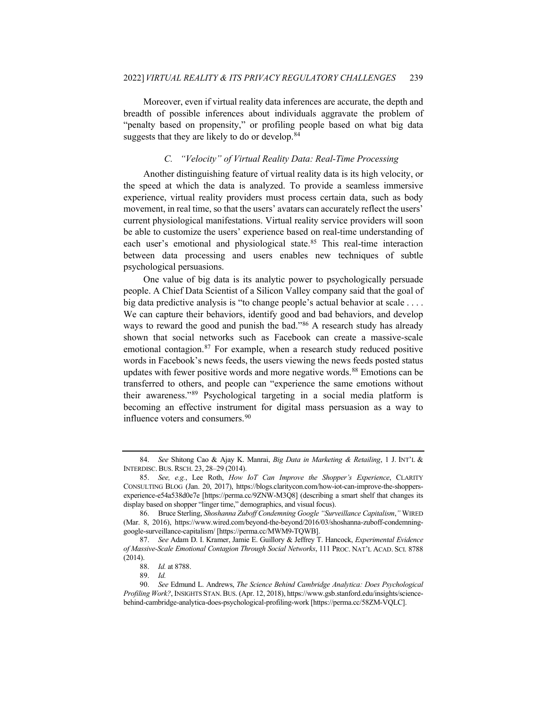Moreover, even if virtual reality data inferences are accurate, the depth and breadth of possible inferences about individuals aggravate the problem of "penalty based on propensity," or profiling people based on what big data suggests that they are likely to do or develop.<sup>[84](#page-14-0)</sup>

## *C. "Velocity" of Virtual Reality Data: Real-Time Processing*

Another distinguishing feature of virtual reality data is its high velocity, or the speed at which the data is analyzed. To provide a seamless immersive experience, virtual reality providers must process certain data, such as body movement, in real time, so that the users' avatars can accurately reflect the users' current physiological manifestations. Virtual reality service providers will soon be able to customize the users' experience based on real-time understanding of each user's emotional and physiological state.<sup>[85](#page-14-1)</sup> This real-time interaction between data processing and users enables new techniques of subtle psychological persuasions.

One value of big data is its analytic power to psychologically persuade people. A Chief Data Scientist of a Silicon Valley company said that the goal of big data predictive analysis is "to change people's actual behavior at scale . . . . We can capture their behaviors, identify good and bad behaviors, and develop ways to reward the good and punish the bad."<sup>[86](#page-14-2)</sup> A research study has already shown that social networks such as Facebook can create a massive-scale emotional contagion.<sup>[87](#page-14-3)</sup> For example, when a research study reduced positive words in Facebook's news feeds, the users viewing the news feeds posted status updates with fewer positive words and more negative words.<sup>[88](#page-14-4)</sup> Emotions can be transferred to others, and people can "experience the same emotions without their awareness."[89](#page-14-5) Psychological targeting in a social media platform is becoming an effective instrument for digital mass persuasion as a way to influence voters and consumers.<sup>[90](#page-14-6)</sup>

<span id="page-14-0"></span><sup>84.</sup> *See* Shitong Cao & Ajay K. Manrai, *Big Data in Marketing & Retailing*, 1 J. INT'L & INTERDISC. BUS. RSCH. 23, 28–29 (2014).

<span id="page-14-1"></span><sup>85.</sup> *See, e.g.*, Lee Roth, *How IoT Can Improve the Shopper's Experience*, CLARITY CONSULTING BLOG (Jan. 20, 2017), https://blogs.claritycon.com/how-iot-can-improve-the-shoppersexperience-e54a538d0e7e [https://perma.cc/9ZNW-M3Q8] (describing a smart shelf that changes its display based on shopper "linger time," demographics, and visual focus).

<span id="page-14-2"></span><sup>86.</sup> Bruce Sterling, *Shoshanna Zuboff Condemning Google "Surveillance Capitalism*,*"* WIRED (Mar. 8, 2016), https://www.wired.com/beyond-the-beyond/2016/03/shoshanna-zuboff-condemninggoogle-surveillance-capitalism/ [https://perma.cc/MWM9-TQWB].

<span id="page-14-3"></span><sup>87.</sup> *See* Adam D. I. Kramer, Jamie E. Guillory & Jeffrey T. Hancock, *Experimental Evidence of Massive-Scale Emotional Contagion Through Social Networks*, 111 PROC. NAT'L ACAD. SCI. 8788 (2014).

<sup>88.</sup> *Id.* at 8788.

<sup>89.</sup> *Id.*

<span id="page-14-6"></span><span id="page-14-5"></span><span id="page-14-4"></span><sup>90.</sup> *See* Edmund L. Andrews, *The Science Behind Cambridge Analytica: Does Psychological Profiling Work?*, INSIGHTS STAN.BUS. (Apr. 12, 2018), https://www.gsb.stanford.edu/insights/sciencebehind-cambridge-analytica-does-psychological-profiling-work [https://perma.cc/58ZM-VQLC].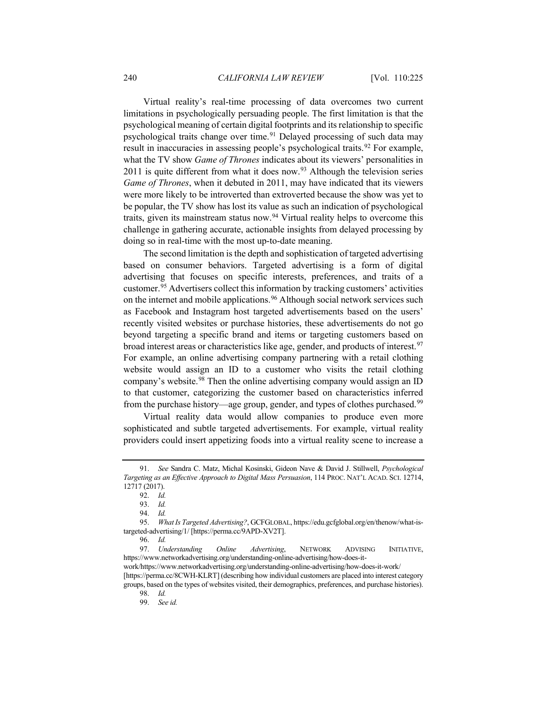Virtual reality's real-time processing of data overcomes two current limitations in psychologically persuading people. The first limitation is that the psychological meaning of certain digital footprints and its relationship to specific psychological traits change over time.<sup>[91](#page-15-0)</sup> Delayed processing of such data may result in inaccuracies in assessing people's psychological traits.<sup>[92](#page-15-1)</sup> For example, what the TV show *Game of Thrones* indicates about its viewers' personalities in  $2011$  is quite different from what it does now.<sup>93</sup> Although the television series *Game of Thrones*, when it debuted in 2011, may have indicated that its viewers were more likely to be introverted than extroverted because the show was yet to be popular, the TV show has lost its value as such an indication of psychological traits, given its mainstream status now.[94](#page-15-3) Virtual reality helps to overcome this challenge in gathering accurate, actionable insights from delayed processing by doing so in real-time with the most up-to-date meaning.

The second limitation is the depth and sophistication of targeted advertising based on consumer behaviors. Targeted advertising is a form of digital advertising that focuses on specific interests, preferences, and traits of a customer.[95](#page-15-4) Advertisers collect this information by tracking customers' activities on the internet and mobile applications.<sup>[96](#page-15-5)</sup> Although social network services such as Facebook and Instagram host targeted advertisements based on the users' recently visited websites or purchase histories, these advertisements do not go beyond targeting a specific brand and items or targeting customers based on broad interest areas or characteristics like age, gender, and products of interest.<sup>[97](#page-15-6)</sup> For example, an online advertising company partnering with a retail clothing website would assign an ID to a customer who visits the retail clothing company's website.<sup>[98](#page-15-7)</sup> Then the online advertising company would assign an ID to that customer, categorizing the customer based on characteristics inferred from the purchase history—age group, gender, and types of clothes purchased.<sup>[99](#page-15-8)</sup>

Virtual reality data would allow companies to produce even more sophisticated and subtle targeted advertisements. For example, virtual reality providers could insert appetizing foods into a virtual reality scene to increase a

<span id="page-15-0"></span><sup>91.</sup> *See* Sandra C. Matz, Michal Kosinski, Gideon Nave & David J. Stillwell, *Psychological Targeting as an Effective Approach to Digital Mass Persuasion*, 114 PROC. NAT'L ACAD. SCI. 12714, 12717 (2017).

<sup>92.</sup> *Id.*

<sup>93.</sup> *Id.*

<sup>94.</sup> *Id.*

<span id="page-15-4"></span><span id="page-15-3"></span><span id="page-15-2"></span><span id="page-15-1"></span><sup>95.</sup> *What Is Targeted Advertising?*, GCFGLOBAL, https://edu.gcfglobal.org/en/thenow/what-istargeted-advertising/1/ [https://perma.cc/9APD-XV2T].

<sup>96.</sup> *Id.*

<span id="page-15-6"></span><span id="page-15-5"></span><sup>97.</sup> *Understanding Online Advertising*, NETWORK ADVISING INITIATIVE, https://www.networkadvertising.org/understanding-online-advertising/how-does-it-

work/https://www.networkadvertising.org/understanding-online-advertising/how-does-it-work/ [https://perma.cc/8CWH-KLRT] (describing how individual customers are placed into interest category

<span id="page-15-8"></span><span id="page-15-7"></span>groups, based on the types of websites visited, their demographics, preferences, and purchase histories). 98. *Id.*

<sup>99.</sup> *See id.*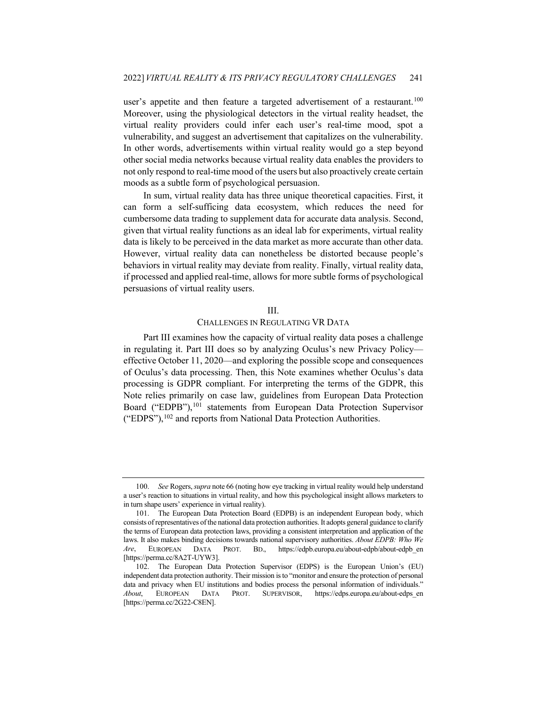user's appetite and then feature a targeted advertisement of a restaurant.<sup>[100](#page-16-0)</sup> Moreover, using the physiological detectors in the virtual reality headset, the virtual reality providers could infer each user's real-time mood, spot a vulnerability, and suggest an advertisement that capitalizes on the vulnerability. In other words, advertisements within virtual reality would go a step beyond other social media networks because virtual reality data enables the providers to not only respond to real-time mood of the users but also proactively create certain moods as a subtle form of psychological persuasion.

In sum, virtual reality data has three unique theoretical capacities. First, it can form a self-sufficing data ecosystem, which reduces the need for cumbersome data trading to supplement data for accurate data analysis. Second, given that virtual reality functions as an ideal lab for experiments, virtual reality data is likely to be perceived in the data market as more accurate than other data. However, virtual reality data can nonetheless be distorted because people's behaviors in virtual reality may deviate from reality. Finally, virtual reality data, if processed and applied real-time, allows for more subtle forms of psychological persuasions of virtual reality users.

#### III.

#### CHALLENGES IN REGULATING VR DATA

Part III examines how the capacity of virtual reality data poses a challenge in regulating it. Part III does so by analyzing Oculus's new Privacy Policy effective October 11, 2020—and exploring the possible scope and consequences of Oculus's data processing. Then, this Note examines whether Oculus's data processing is GDPR compliant. For interpreting the terms of the GDPR, this Note relies primarily on case law, guidelines from European Data Protection Board ("EDPB"),<sup>[101](#page-16-1)</sup> statements from European Data Protection Supervisor ("EDPS"),<sup>102</sup> and reports from National Data Protection Authorities.

<span id="page-16-0"></span><sup>100.</sup> *See* Rogers, *supra* not[e 66](#page-11-6) (noting how eye tracking in virtual reality would help understand a user's reaction to situations in virtual reality, and how this psychological insight allows marketers to in turn shape users' experience in virtual reality).

<span id="page-16-1"></span><sup>101.</sup> The European Data Protection Board (EDPB) is an independent European body, which consists of representatives of the national data protection authorities. It adopts general guidance to clarify the terms of European data protection laws, providing a consistent interpretation and application of the laws. It also makes binding decisions towards national supervisory authorities. *About EDPB: Who We Are*, EUROPEAN DATA PROT. BD., https://edpb.europa.eu/about-edpb/about-edpb\_en [https://perma.cc/8A2T-UYW3].

<span id="page-16-2"></span><sup>102.</sup> The European Data Protection Supervisor (EDPS) is the European Union's (EU) independent data protection authority. Their mission is to "monitor and ensure the protection of personal data and privacy when EU institutions and bodies process the personal information of individuals." *About*, EUROPEAN DATA PROT. SUPERVISOR, https://edps.europa.eu/about-edps\_en [https://perma.cc/2G22-C8EN].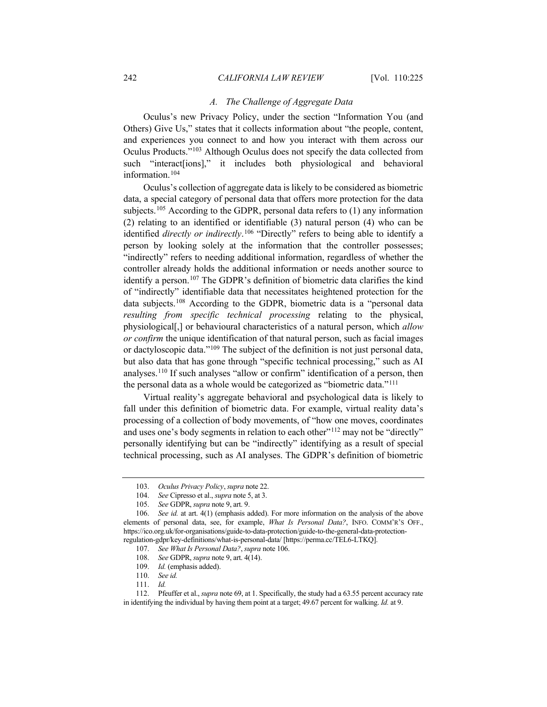#### *A. The Challenge of Aggregate Data*

Oculus's new Privacy Policy, under the section "Information You (and Others) Give Us," states that it collects information about "the people, content, and experiences you connect to and how you interact with them across our Oculus Products."[103](#page-17-1) Although Oculus does not specify the data collected from such "interact[ions]," it includes both physiological and behavioral information.[104](#page-17-2)

<span id="page-17-0"></span>Oculus's collection of aggregate data is likely to be considered as biometric data, a special category of personal data that offers more protection for the data subjects.<sup>[105](#page-17-3)</sup> According to the GDPR, personal data refers to  $(1)$  any information (2) relating to an identified or identifiable (3) natural person (4) who can be identified *directly or indirectly*. [106](#page-17-4) "Directly" refers to being able to identify a person by looking solely at the information that the controller possesses; "indirectly" refers to needing additional information, regardless of whether the controller already holds the additional information or needs another source to identify a person.<sup>[107](#page-17-5)</sup> The GDPR's definition of biometric data clarifies the kind of "indirectly" identifiable data that necessitates heightened protection for the data subjects.[108](#page-17-6) According to the GDPR, biometric data is a "personal data *resulting from specific technical processing* relating to the physical, physiological[,] or behavioural characteristics of a natural person, which *allow or confirm* the unique identification of that natural person, such as facial images or dactyloscopic data."[109](#page-17-7) The subject of the definition is not just personal data, but also data that has gone through "specific technical processing," such as AI analyses.[110](#page-17-8) If such analyses "allow or confirm" identification of a person, then the personal data as a whole would be categorized as "biometric data."[111](#page-17-9)

Virtual reality's aggregate behavioral and psychological data is likely to fall under this definition of biometric data. For example, virtual reality data's processing of a collection of body movements, of "how one moves, coordinates and uses one's body segments in relation to each other"<sup>[112](#page-17-10)</sup> may not be "directly" personally identifying but can be "indirectly" identifying as a result of special technical processing, such as AI analyses. The GDPR's definition of biometric

<sup>103.</sup> *Oculus Privacy Policy*, *supra* not[e 22.](#page-5-3)

<sup>104.</sup> *See* Cipresso et al., *supra* not[e 5,](#page-2-9) at 3.

<sup>105.</sup> *See* GDPR, *supra* not[e 9,](#page-3-7) art. 9.

<span id="page-17-5"></span><span id="page-17-4"></span><span id="page-17-3"></span><span id="page-17-2"></span><span id="page-17-1"></span><sup>106.</sup> *See id.* at art. 4(1) (emphasis added). For more information on the analysis of the above elements of personal data, see, for example, *What Is Personal Data?*, INFO. COMM'R'S OFF., https://ico.org.uk/for-organisations/guide-to-data-protection/guide-to-the-general-data-protectionregulation-gdpr/key-definitions/what-is-personal-data/ [https://perma.cc/TEL6-LTKQ].

<sup>107.</sup> *See What Is Personal Data?*, *supra* note [106.](#page-17-0)

<sup>108.</sup> *See* GDPR, *supra* not[e 9,](#page-3-7) art. 4(14).

<sup>109.</sup> *Id.* (emphasis added).

<sup>110.</sup> *See id.*

<sup>111.</sup> *Id.*

<span id="page-17-10"></span><span id="page-17-9"></span><span id="page-17-8"></span><span id="page-17-7"></span><span id="page-17-6"></span><sup>112.</sup> Pfeuffer et al., *supra* not[e 69,](#page-12-8) at 1. Specifically, the study had a 63.55 percent accuracy rate in identifying the individual by having them point at a target; 49.67 percent for walking. *Id.* at 9.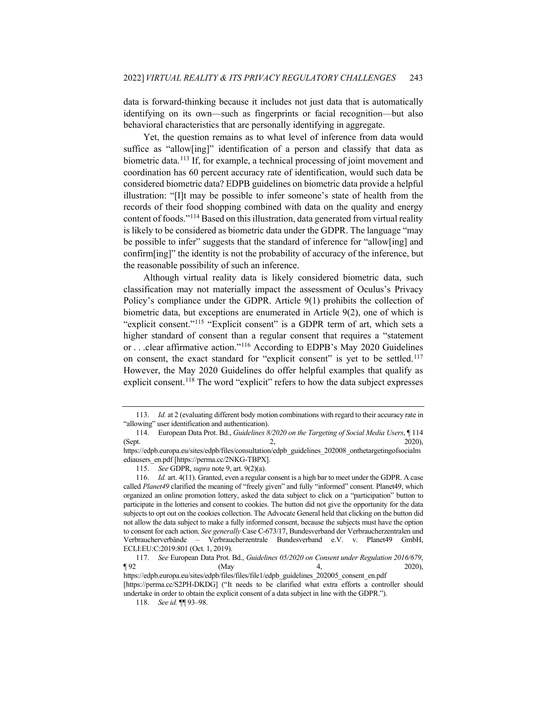data is forward-thinking because it includes not just data that is automatically identifying on its own—such as fingerprints or facial recognition—but also behavioral characteristics that are personally identifying in aggregate.

Yet, the question remains as to what level of inference from data would suffice as "allow[ing]" identification of a person and classify that data as biometric data.<sup>[113](#page-18-0)</sup> If, for example, a technical processing of joint movement and coordination has 60 percent accuracy rate of identification, would such data be considered biometric data? EDPB guidelines on biometric data provide a helpful illustration: "[I]t may be possible to infer someone's state of health from the records of their food shopping combined with data on the quality and energy content of foods."[114](#page-18-1) Based on this illustration, data generated from virtual reality is likely to be considered as biometric data under the GDPR. The language "may be possible to infer" suggests that the standard of inference for "allow[ing] and confirm[ing]" the identity is not the probability of accuracy of the inference, but the reasonable possibility of such an inference.

Although virtual reality data is likely considered biometric data, such classification may not materially impact the assessment of Oculus's Privacy Policy's compliance under the GDPR. Article 9(1) prohibits the collection of biometric data, but exceptions are enumerated in Article 9(2), one of which is "explicit consent."<sup>[115](#page-18-2)</sup> "Explicit consent" is a GDPR term of art, which sets a higher standard of consent than a regular consent that requires a "statement or . . .clear affirmative action."[116](#page-18-3) According to EDPB's May 2020 Guidelines on consent, the exact standard for "explicit consent" is yet to be settled.<sup>[117](#page-18-4)</sup> However, the May 2020 Guidelines do offer helpful examples that qualify as explicit consent.<sup>[118](#page-18-5)</sup> The word "explicit" refers to how the data subject expresses

<span id="page-18-6"></span><span id="page-18-0"></span><sup>113.</sup> *Id.* at 2 (evaluating different body motion combinations with regard to their accuracy rate in "allowing" user identification and authentication).

<span id="page-18-1"></span><sup>114.</sup> European Data Prot. Bd., *Guidelines 8/2020 on the Targeting of Social Media Users*, ¶ 114 (Sept. 2, 2020), https://edpb.europa.eu/sites/edpb/files/consultation/edpb\_guidelines\_202008\_onthetargetingofsocialm ediausers\_en.pdf [https://perma.cc/2NKG-TBPX].

<sup>115.</sup> *See* GDPR, *supra* not[e 9,](#page-3-7) art. 9(2)(a).

<span id="page-18-3"></span><span id="page-18-2"></span><sup>116.</sup> *Id.* art. 4(11). Granted, even a regular consent is a high bar to meet under the GDPR. A case called *Planet49* clarified the meaning of "freely given" and fully "informed" consent. Planet49, which organized an online promotion lottery, asked the data subject to click on a "participation" button to participate in the lotteries and consent to cookies. The button did not give the opportunity for the data subjects to opt out on the cookies collection. The Advocate General held that clicking on the button did not allow the data subject to make a fully informed consent, because the subjects must have the option to consent for each action. *See generally* Case C-673/17, Bundesverband der Verbraucherzentralen und Verbraucherverbände – Verbraucherzentrale Bundesverband e.V. v. Planet49 GmbH, ECLI:EU:C:2019:801 (Oct. 1, 2019).

<span id="page-18-4"></span><sup>117.</sup> *See* European Data Prot. Bd., *Guidelines 05/2020 on Consent under Regulation 2016/679*,  $\blacksquare$  92 (May 4, 2020), https://edpb.europa.eu/sites/edpb/files/files/file1/edpb\_guidelines\_202005\_consent\_en.pdf

<span id="page-18-5"></span><sup>[</sup>https://perma.cc/S2PH-DKDG] ("It needs to be clarified what extra efforts a controller should undertake in order to obtain the explicit consent of a data subject in line with the GDPR.").

<sup>118.</sup> *See id.* ¶¶ 93–98.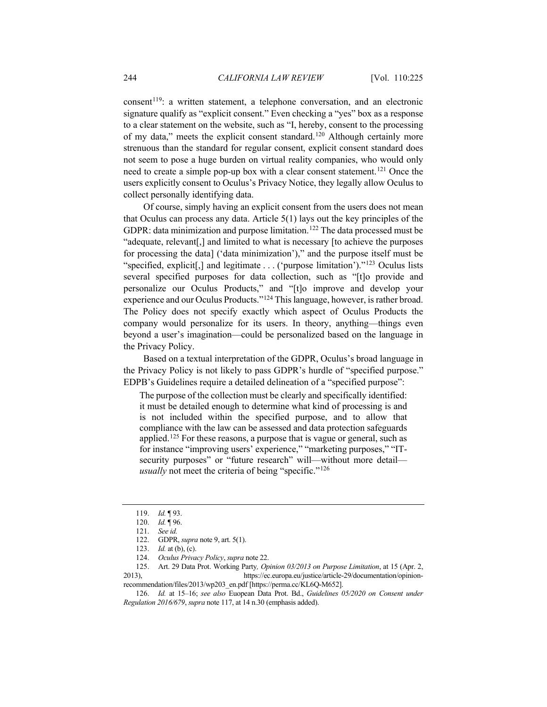$constant<sup>119</sup>$  $constant<sup>119</sup>$  $constant<sup>119</sup>$ : a written statement, a telephone conversation, and an electronic signature qualify as "explicit consent." Even checking a "yes" box as a response to a clear statement on the website, such as "I, hereby, consent to the processing of my data," meets the explicit consent standard.[120](#page-19-1) Although certainly more strenuous than the standard for regular consent, explicit consent standard does not seem to pose a huge burden on virtual reality companies, who would only need to create a simple pop-up box with a clear consent statement.<sup>[121](#page-19-2)</sup> Once the users explicitly consent to Oculus's Privacy Notice, they legally allow Oculus to collect personally identifying data.

Of course, simply having an explicit consent from the users does not mean that Oculus can process any data. Article 5(1) lays out the key principles of the GDPR: data minimization and purpose limitation.<sup>[122](#page-19-3)</sup> The data processed must be "adequate, relevant[,] and limited to what is necessary [to achieve the purposes for processing the data] ('data minimization')," and the purpose itself must be "specified, explicit[,] and legitimate . . . ('purpose limitation')."[123](#page-19-4) Oculus lists several specified purposes for data collection, such as "[t]o provide and personalize our Oculus Products," and "[t]o improve and develop your experience and our Oculus Products."[124](#page-19-5) This language, however, is rather broad. The Policy does not specify exactly which aspect of Oculus Products the company would personalize for its users. In theory, anything—things even beyond a user's imagination—could be personalized based on the language in the Privacy Policy.

Based on a textual interpretation of the GDPR, Oculus's broad language in the Privacy Policy is not likely to pass GDPR's hurdle of "specified purpose." EDPB's Guidelines require a detailed delineation of a "specified purpose":

The purpose of the collection must be clearly and specifically identified: it must be detailed enough to determine what kind of processing is and is not included within the specified purpose, and to allow that compliance with the law can be assessed and data protection safeguards applied.<sup>[125](#page-19-6)</sup> For these reasons, a purpose that is vague or general, such as for instance "improving users' experience," "marketing purposes," "ITsecurity purposes" or "future research" will—without more detail *usually* not meet the criteria of being "specific."<sup>[126](#page-19-7)</sup>

<sup>119.</sup> *Id.* ¶ 93.

<sup>120.</sup> *Id.* ¶ 96.

<sup>121.</sup> *See id.*

<sup>122.</sup> GDPR, *supra* note [9,](#page-3-7) art. 5(1).

<sup>123.</sup> *Id.* at (b), (c).

<sup>124.</sup> *Oculus Privacy Policy*, *supra* not[e 22.](#page-5-3)

<span id="page-19-6"></span><span id="page-19-5"></span><span id="page-19-4"></span><span id="page-19-3"></span><span id="page-19-2"></span><span id="page-19-1"></span><span id="page-19-0"></span><sup>125.</sup> Art. 29 Data Prot. Working Party*, Opinion 03/2013 on Purpose Limitation*, at 15 (Apr. 2, 2013), https://ec.europa.eu/justice/article-29/documentation/opinionrecommendation/files/2013/wp203\_en.pdf [https://perma.cc/KL6Q-M652].

<span id="page-19-7"></span><sup>126.</sup> *Id.* at 15–16; *see also* Euopean Data Prot. Bd., *Guidelines 05/2020 on Consent under Regulation 2016/679*, *supra* not[e 117,](#page-18-6) at 14 n.30 (emphasis added).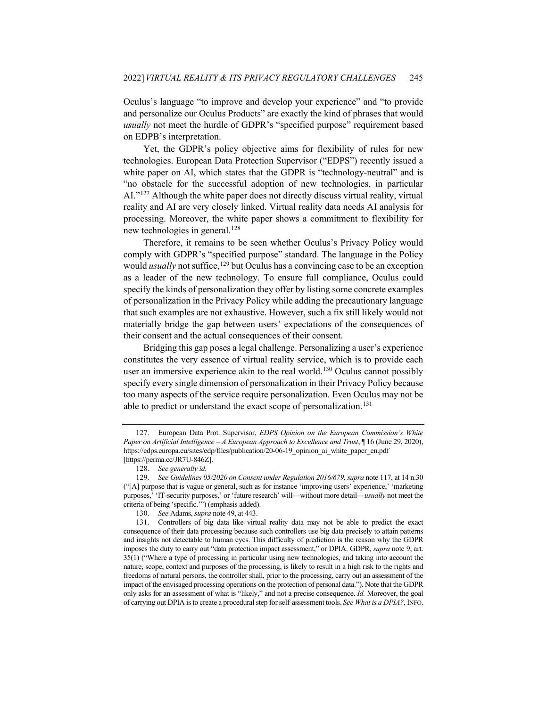Oculus's language "to improve and develop your experience" and "to provide and personalize our Oculus Products" are exactly the kind of phrases that would *usually* not meet the hurdle of GDPR's "specified purpose" requirement based on EDPB's interpretation.

Yet, the GDPR's policy objective aims for flexibility of rules for new technologies. European Data Protection Supervisor ("EDPS") recently issued a white paper on AI, which states that the GDPR is "technology-neutral" and is "no obstacle for the successful adoption of new technologies, in particular AI."[127](#page-20-0) Although the white paper does not directly discuss virtual reality, virtual reality and AI are very closely linked. Virtual reality data needs AI analysis for processing. Moreover, the white paper shows a commitment to flexibility for new technologies in general.<sup>[128](#page-20-1)</sup>

Therefore, it remains to be seen whether Oculus's Privacy Policy would comply with GDPR's "specified purpose" standard. The language in the Policy would *usually* not suffice,<sup>129</sup> but Oculus has a convincing case to be an exception as a leader of the new technology. To ensure full compliance, Oculus could specify the kinds of personalization they offer by listing some concrete examples of personalization in the Privacy Policy while adding the precautionary language that such examples are not exhaustive. However, such a fix still likely would not materially bridge the gap between users' expectations of the consequences of their consent and the actual consequences of their consent.

Bridging this gap poses a legal challenge. Personalizing a user's experience constitutes the very essence of virtual reality service, which is to provide each user an immersive experience akin to the real world.<sup>[130](#page-20-3)</sup> Oculus cannot possibly specify every single dimension of personalization in their Privacy Policy because too many aspects of the service require personalization. Even Oculus may not be able to predict or understand the exact scope of personalization.<sup>[131](#page-20-4)</sup>

<span id="page-20-0"></span><sup>127.</sup> European Data Prot. Supervisor, *EDPS Opinion on the European Commission's White Paper on Artificial Intelligence – A European Approach to Excellence and Trust*, ¶ 16 (June 29, 2020), https://edps.europa.eu/sites/edp/files/publication/20-06-19\_opinion\_ai\_white\_paper\_en.pdf [https://perma.cc/JR7U-846Z].

<sup>128.</sup> *See generally id.*

<span id="page-20-2"></span><span id="page-20-1"></span><sup>129.</sup> *See Guidelines 05/2020 on Consent under Regulation 2016/679*, *supra* not[e 117,](#page-18-6) at 14 n.30 ("[A] purpose that is vague or general, such as for instance 'improving users' experience,' 'marketing purposes,' 'IT-security purposes,' or 'future research' will—without more detail—*usually* not meet the criteria of being 'specific.'") (emphasis added).

<sup>130.</sup> *See* Adams, *supra* not[e 49,](#page-8-8) at 443.

<span id="page-20-4"></span><span id="page-20-3"></span><sup>131.</sup> Controllers of big data like virtual reality data may not be able to predict the exact consequence of their data processing because such controllers use big data precisely to attain patterns and insights not detectable to human eyes. This difficulty of prediction is the reason why the GDPR imposes the duty to carry out "data protection impact assessment," or DPIA. GDPR, *supra* note [9,](#page-3-7) art. 35(1) ("Where a type of processing in particular using new technologies, and taking into account the nature, scope, context and purposes of the processing, is likely to result in a high risk to the rights and freedoms of natural persons, the controller shall, prior to the processing, carry out an assessment of the impact of the envisaged processing operations on the protection of personal data."). Note that the GDPR only asks for an assessment of what is "likely," and not a precise consequence. *Id.* Moreover, the goal of carrying out DPIA is to create a procedural step for self-assessment tools. *See What is a DPIA?*, INFO.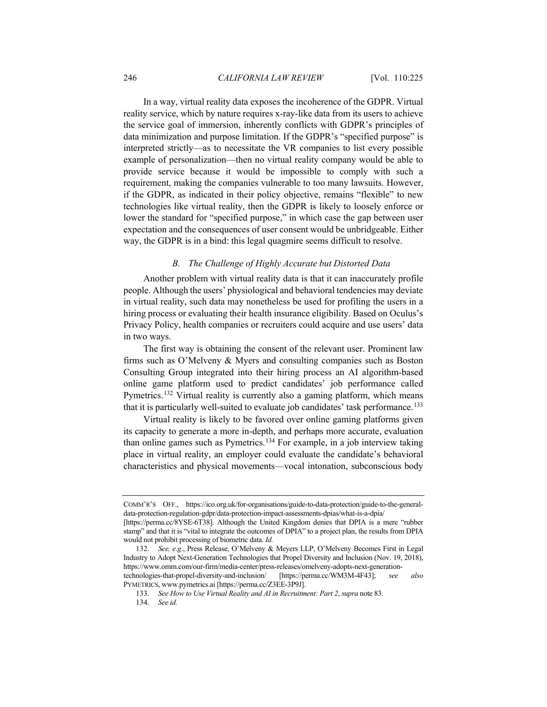In a way, virtual reality data exposes the incoherence of the GDPR. Virtual reality service, which by nature requires x-ray-like data from its users to achieve the service goal of immersion, inherently conflicts with GDPR's principles of data minimization and purpose limitation. If the GDPR's "specified purpose" is interpreted strictly—as to necessitate the VR companies to list every possible example of personalization—then no virtual reality company would be able to provide service because it would be impossible to comply with such a requirement, making the companies vulnerable to too many lawsuits. However, if the GDPR, as indicated in their policy objective, remains "flexible" to new technologies like virtual reality, then the GDPR is likely to loosely enforce or lower the standard for "specified purpose," in which case the gap between user expectation and the consequences of user consent would be unbridgeable. Either way, the GDPR is in a bind: this legal quagmire seems difficult to resolve.

#### *B. The Challenge of Highly Accurate but Distorted Data*

Another problem with virtual reality data is that it can inaccurately profile people. Although the users' physiological and behavioral tendencies may deviate in virtual reality, such data may nonetheless be used for profiling the users in a hiring process or evaluating their health insurance eligibility. Based on Oculus's Privacy Policy, health companies or recruiters could acquire and use users' data in two ways.

The first way is obtaining the consent of the relevant user. Prominent law firms such as O'Melveny & Myers and consulting companies such as Boston Consulting Group integrated into their hiring process an AI algorithm-based online game platform used to predict candidates' job performance called Pymetrics.<sup>[132](#page-21-0)</sup> Virtual reality is currently also a gaming platform, which means that it is particularly well-suited to evaluate job candidates' task performance.<sup>[133](#page-21-1)</sup>

Virtual reality is likely to be favored over online gaming platforms given its capacity to generate a more in-depth, and perhaps more accurate, evaluation than online games such as Pymetrics.[134](#page-21-2) For example, in a job interview taking place in virtual reality, an employer could evaluate the candidate's behavioral characteristics and physical movements—vocal intonation, subconscious body

<span id="page-21-2"></span><span id="page-21-1"></span>PYMETRICS, www.pymetrics.ai [https://perma.cc/Z3EE-3P9J].

COMM'R'S OFF., https://ico.org.uk/for-organisations/guide-to-data-protection/guide-to-the-generaldata-protection-regulation-gdpr/data-protection-impact-assessments-dpias/what-is-a-dpia/

<sup>[</sup>https://perma.cc/8YSE-6T38]. Although the United Kingdom denies that DPIA is a mere "rubber stamp" and that it is "vital to integrate the outcomes of DPIA" to a project plan, the results from DPIA would not prohibit processing of biometric data. *Id.*

<span id="page-21-0"></span><sup>132.</sup> *See, e.g*., Press Release, O'Melveny & Meyers LLP, O'Melveny Becomes First in Legal Industry to Adopt Next-Generation Technologies that Propel Diversity and Inclusion (Nov. 19, 2018), https://www.omm.com/our-firm/media-center/press-releases/omelveny-adopts-next-generationtechnologies-that-propel-diversity-and-inclusion/ [https://perma.cc/WM3M-4F43]; *see also*

<sup>133.</sup> *See How to Use Virtual Reality and AI in Recruitment: Part 2*, *supra* not[e 83.](#page-13-9)

<sup>134.</sup> *See id.*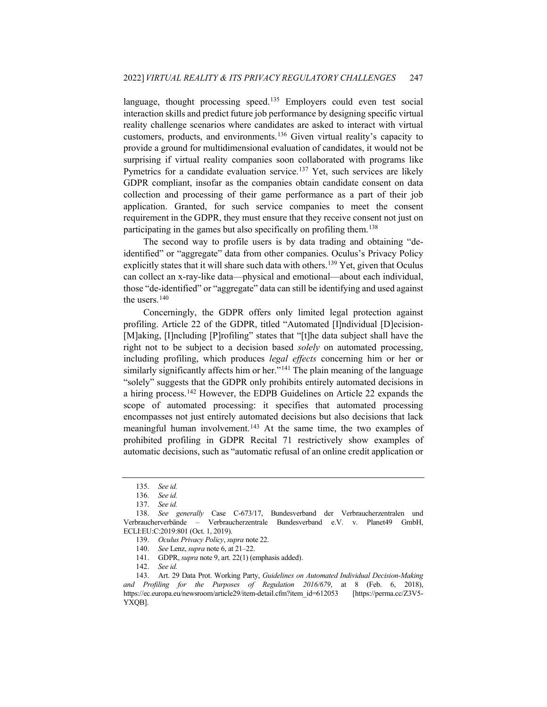language, thought processing speed.<sup>[135](#page-22-0)</sup> Employers could even test social interaction skills and predict future job performance by designing specific virtual reality challenge scenarios where candidates are asked to interact with virtual customers, products, and environments.[136](#page-22-1) Given virtual reality's capacity to provide a ground for multidimensional evaluation of candidates, it would not be surprising if virtual reality companies soon collaborated with programs like Pymetrics for a candidate evaluation service.<sup>[137](#page-22-2)</sup> Yet, such services are likely GDPR compliant, insofar as the companies obtain candidate consent on data collection and processing of their game performance as a part of their job application. Granted, for such service companies to meet the consent requirement in the GDPR, they must ensure that they receive consent not just on participating in the games but also specifically on profiling them.<sup>[138](#page-22-3)</sup>

The second way to profile users is by data trading and obtaining "deidentified" or "aggregate" data from other companies. Oculus's Privacy Policy explicitly states that it will share such data with others.<sup>[139](#page-22-4)</sup> Yet, given that Oculus can collect an x-ray-like data—physical and emotional—about each individual, those "de-identified" or "aggregate" data can still be identifying and used against the users.<sup>[140](#page-22-5)</sup>

Concerningly, the GDPR offers only limited legal protection against profiling. Article 22 of the GDPR, titled "Automated [I]ndividual [D]ecision- [M]aking, [I]ncluding [P]rofiling" states that "[t]he data subject shall have the right not to be subject to a decision based *solely* on automated processing, including profiling, which produces *legal effects* concerning him or her or similarly significantly affects him or her."<sup>[141](#page-22-6)</sup> The plain meaning of the language "solely" suggests that the GDPR only prohibits entirely automated decisions in a hiring process.[142](#page-22-7) However, the EDPB Guidelines on Article 22 expands the scope of automated processing: it specifies that automated processing encompasses not just entirely automated decisions but also decisions that lack meaningful human involvement.<sup>[143](#page-22-8)</sup> At the same time, the two examples of prohibited profiling in GDPR Recital 71 restrictively show examples of automatic decisions, such as "automatic refusal of an online credit application or

<sup>135.</sup> *See id.*

<sup>136.</sup> *See id.*

<sup>137.</sup> *See id.*

<span id="page-22-4"></span><span id="page-22-3"></span><span id="page-22-2"></span><span id="page-22-1"></span><span id="page-22-0"></span><sup>138.</sup> *See generally* Case C-673/17, Bundesverband der Verbraucherzentralen und Verbraucherverbände – Verbraucherzentrale Bundesverband e.V. v. Planet49 GmbH, ECLI:EU:C:2019:801 (Oct. 1, 2019).

<sup>139.</sup> *Oculus Privacy Policy*, *supra* not[e 22.](#page-5-3)

<sup>140.</sup> *See* Lenz, *supra* not[e 6,](#page-2-0) at 21–22.

<sup>141.</sup> GDPR, *supra* note [9,](#page-3-7) art. 22(1) (emphasis added).

<sup>142.</sup> *See id.*

<span id="page-22-8"></span><span id="page-22-7"></span><span id="page-22-6"></span><span id="page-22-5"></span><sup>143.</sup> Art. 29 Data Prot. Working Party, *Guidelines on Automated Individual Decision-Making and Profiling for the Purposes of Regulation 2016/679*, at 8 (Feb. 6, 2018), https://ec.europa.eu/newsroom/article29/item-detail.cfm?item\_id=612053 [https://perma.cc/Z3V5- YXQB].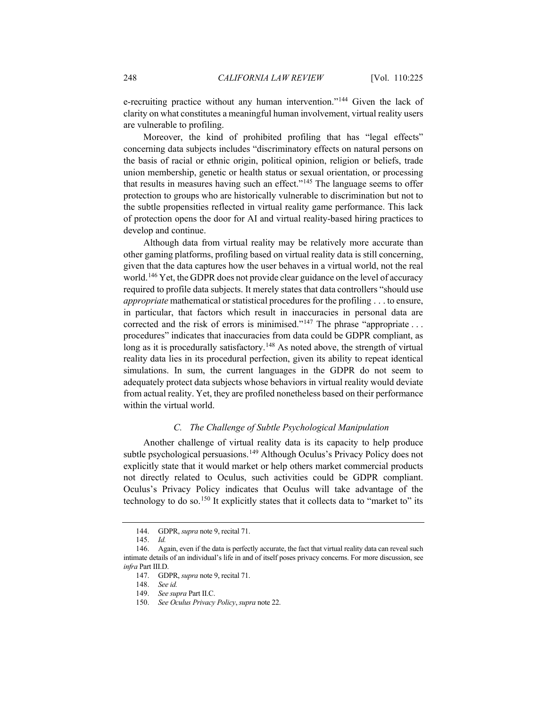e-recruiting practice without any human intervention."<sup>[144](#page-23-0)</sup> Given the lack of clarity on what constitutes a meaningful human involvement, virtual reality users are vulnerable to profiling.

Moreover, the kind of prohibited profiling that has "legal effects" concerning data subjects includes "discriminatory effects on natural persons on the basis of racial or ethnic origin, political opinion, religion or beliefs, trade union membership, genetic or health status or sexual orientation, or processing that results in measures having such an effect.["145](#page-23-1) The language seems to offer protection to groups who are historically vulnerable to discrimination but not to the subtle propensities reflected in virtual reality game performance. This lack of protection opens the door for AI and virtual reality-based hiring practices to develop and continue.

Although data from virtual reality may be relatively more accurate than other gaming platforms, profiling based on virtual reality data is still concerning, given that the data captures how the user behaves in a virtual world, not the real world.[146](#page-23-2) Yet, the GDPR does not provide clear guidance on the level of accuracy required to profile data subjects. It merely states that data controllers "should use *appropriate* mathematical or statistical procedures for the profiling . . . to ensure, in particular, that factors which result in inaccuracies in personal data are corrected and the risk of errors is minimised."<sup>[147](#page-23-3)</sup> The phrase "appropriate . . . procedures" indicates that inaccuracies from data could be GDPR compliant, as long as it is procedurally satisfactory.<sup>148</sup> As noted above, the strength of virtual reality data lies in its procedural perfection, given its ability to repeat identical simulations. In sum, the current languages in the GDPR do not seem to adequately protect data subjects whose behaviors in virtual reality would deviate from actual reality. Yet, they are profiled nonetheless based on their performance within the virtual world.

## *C. The Challenge of Subtle Psychological Manipulation*

Another challenge of virtual reality data is its capacity to help produce subtle psychological persuasions.<sup>[149](#page-23-5)</sup> Although Oculus's Privacy Policy does not explicitly state that it would market or help others market commercial products not directly related to Oculus, such activities could be GDPR compliant. Oculus's Privacy Policy indicates that Oculus will take advantage of the technology to do so.<sup>[150](#page-23-6)</sup> It explicitly states that it collects data to "market to" its

<sup>144.</sup> GDPR, *supra* note [9,](#page-3-7) recital 71.

<sup>145.</sup> *Id.*

<span id="page-23-6"></span><span id="page-23-5"></span><span id="page-23-4"></span><span id="page-23-3"></span><span id="page-23-2"></span><span id="page-23-1"></span><span id="page-23-0"></span><sup>146.</sup> Again, even if the data is perfectly accurate, the fact that virtual reality data can reveal such intimate details of an individual's life in and of itself poses privacy concerns. For more discussion, see *infra* Part III.D.

<sup>147.</sup> GDPR, *supra* note [9,](#page-3-7) recital 71.

<sup>148.</sup> *See id.*

<sup>149.</sup> *See supra* Part II.C.

<sup>150.</sup> *See Oculus Privacy Policy*, *supra* not[e 22.](#page-5-3)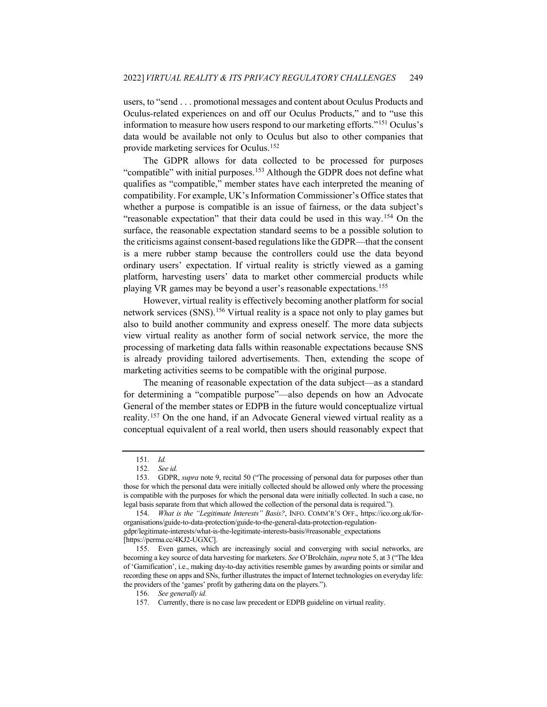users, to "send . . . promotional messages and content about Oculus Products and Oculus-related experiences on and off our Oculus Products," and to "use this information to measure how users respond to our marketing efforts."[151](#page-24-0) Oculus's data would be available not only to Oculus but also to other companies that provide marketing services for Oculus[.152](#page-24-1)

The GDPR allows for data collected to be processed for purposes "compatible" with initial purposes.<sup>[153](#page-24-2)</sup> Although the GDPR does not define what qualifies as "compatible," member states have each interpreted the meaning of compatibility. For example, UK's Information Commissioner's Office states that whether a purpose is compatible is an issue of fairness, or the data subject's "reasonable expectation" that their data could be used in this way.[154](#page-24-3) On the surface, the reasonable expectation standard seems to be a possible solution to the criticisms against consent-based regulations like the GDPR—that the consent is a mere rubber stamp because the controllers could use the data beyond ordinary users' expectation. If virtual reality is strictly viewed as a gaming platform, harvesting users' data to market other commercial products while playing VR games may be beyond a user's reasonable expectations.[155](#page-24-4)

However, virtual reality is effectively becoming another platform for social network services (SNS).[156](#page-24-5) Virtual reality is a space not only to play games but also to build another community and express oneself. The more data subjects view virtual reality as another form of social network service, the more the processing of marketing data falls within reasonable expectations because SNS is already providing tailored advertisements. Then, extending the scope of marketing activities seems to be compatible with the original purpose.

The meaning of reasonable expectation of the data subject—as a standard for determining a "compatible purpose"—also depends on how an Advocate General of the member states or EDPB in the future would conceptualize virtual reality.[157](#page-24-6) On the one hand, if an Advocate General viewed virtual reality as a conceptual equivalent of a real world, then users should reasonably expect that

<sup>151.</sup> *Id.*

<sup>152.</sup> *See id.*

<span id="page-24-2"></span><span id="page-24-1"></span><span id="page-24-0"></span><sup>153.</sup> GDPR, *supra* note [9,](#page-3-7) recital 50 ("The processing of personal data for purposes other than those for which the personal data were initially collected should be allowed only where the processing is compatible with the purposes for which the personal data were initially collected. In such a case, no legal basis separate from that which allowed the collection of the personal data is required.").

<span id="page-24-3"></span><sup>154.</sup> *What is the "Legitimate Interests" Basis?*, INFO. COMM'R'S OFF., https://ico.org.uk/fororganisations/guide-to-data-protection/guide-to-the-general-data-protection-regulationgdpr/legitimate-interests/what-is-the-legitimate-interests-basis/#reasonable\_expectations [https://perma.cc/4KJ2-UGXC].

<span id="page-24-6"></span><span id="page-24-5"></span><span id="page-24-4"></span><sup>155.</sup> Even games, which are increasingly social and converging with social networks, are becoming a key source of data harvesting for marketers. *See* O'Brolcháin, *supra* not[e 5,](#page-2-9) at 3 ("The Idea of 'Gamification', i.e., making day-to-day activities resemble games by awarding points or similar and recording these on apps and SNs, further illustrates the impact of Internet technologies on everyday life: the providers of the 'games' profit by gathering data on the players.").

<sup>156.</sup> *See generally id.*

<sup>157.</sup> Currently, there is no case law precedent or EDPB guideline on virtual reality.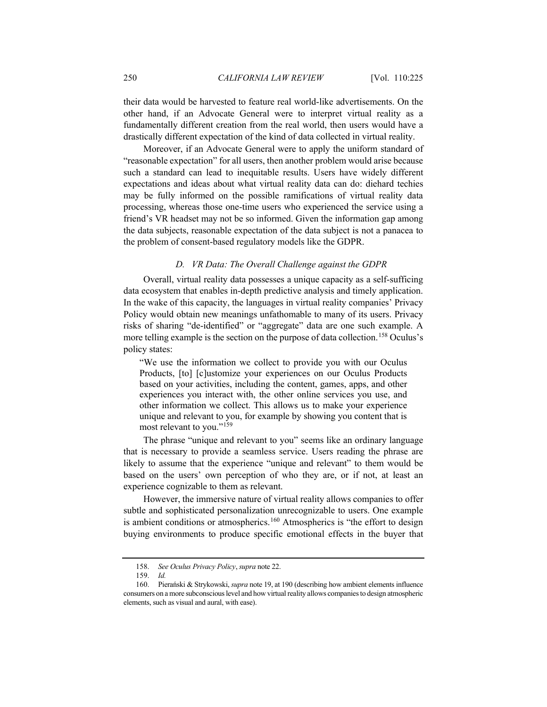their data would be harvested to feature real world-like advertisements. On the other hand, if an Advocate General were to interpret virtual reality as a fundamentally different creation from the real world, then users would have a drastically different expectation of the kind of data collected in virtual reality.

Moreover, if an Advocate General were to apply the uniform standard of "reasonable expectation" for all users, then another problem would arise because such a standard can lead to inequitable results. Users have widely different expectations and ideas about what virtual reality data can do: diehard techies may be fully informed on the possible ramifications of virtual reality data processing, whereas those one-time users who experienced the service using a friend's VR headset may not be so informed. Given the information gap among the data subjects, reasonable expectation of the data subject is not a panacea to the problem of consent-based regulatory models like the GDPR.

#### *D. VR Data: The Overall Challenge against the GDPR*

Overall, virtual reality data possesses a unique capacity as a self-sufficing data ecosystem that enables in-depth predictive analysis and timely application. In the wake of this capacity, the languages in virtual reality companies' Privacy Policy would obtain new meanings unfathomable to many of its users. Privacy risks of sharing "de-identified" or "aggregate" data are one such example. A more telling example is the section on the purpose of data collection.<sup>[158](#page-25-0)</sup> Oculus's policy states:

"We use the information we collect to provide you with our Oculus Products, [to] [c]ustomize your experiences on our Oculus Products based on your activities, including the content, games, apps, and other experiences you interact with, the other online services you use, and other information we collect. This allows us to make your experience unique and relevant to you, for example by showing you content that is most relevant to you."[159](#page-25-1)

The phrase "unique and relevant to you" seems like an ordinary language that is necessary to provide a seamless service. Users reading the phrase are likely to assume that the experience "unique and relevant" to them would be based on the users' own perception of who they are, or if not, at least an experience cognizable to them as relevant.

However, the immersive nature of virtual reality allows companies to offer subtle and sophisticated personalization unrecognizable to users. One example is ambient conditions or atmospherics.<sup>[160](#page-25-2)</sup> Atmospherics is "the effort to design buying environments to produce specific emotional effects in the buyer that

<sup>158.</sup> *See Oculus Privacy Policy*, *supra* not[e 22.](#page-5-3)

<sup>159.</sup> *Id.*

<span id="page-25-2"></span><span id="page-25-1"></span><span id="page-25-0"></span><sup>160.</sup> Pierański & Strykowski, *supra* not[e 19,](#page-4-4) at 190 (describing how ambient elements influence consumers on a more subconscious level and how virtual reality allows companies to design atmospheric elements, such as visual and aural, with ease).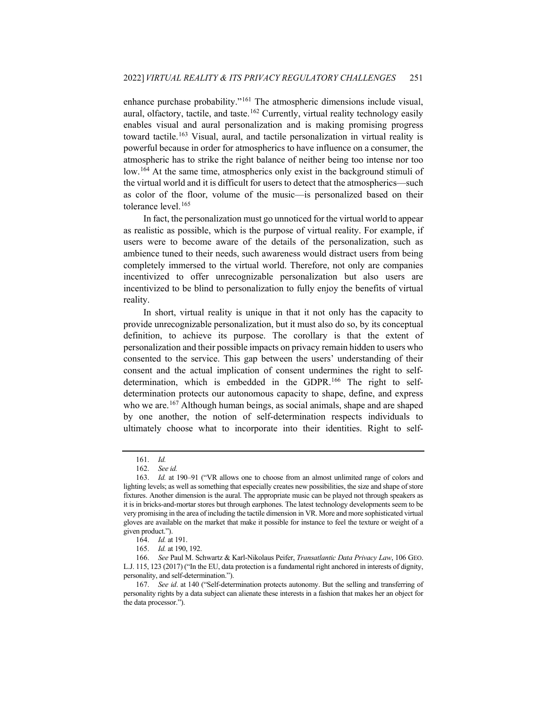enhance purchase probability."[161](#page-26-0) The atmospheric dimensions include visual, aural, olfactory, tactile, and taste.<sup>[162](#page-26-1)</sup> Currently, virtual reality technology easily enables visual and aural personalization and is making promising progress toward tactile.<sup>[163](#page-26-2)</sup> Visual, aural, and tactile personalization in virtual reality is powerful because in order for atmospherics to have influence on a consumer, the atmospheric has to strike the right balance of neither being too intense nor too low.<sup>[164](#page-26-3)</sup> At the same time, atmospherics only exist in the background stimuli of the virtual world and it is difficult for users to detect that the atmospherics—such as color of the floor, volume of the music—is personalized based on their tolerance level.<sup>[165](#page-26-4)</sup>

In fact, the personalization must go unnoticed for the virtual world to appear as realistic as possible, which is the purpose of virtual reality. For example, if users were to become aware of the details of the personalization, such as ambience tuned to their needs, such awareness would distract users from being completely immersed to the virtual world. Therefore, not only are companies incentivized to offer unrecognizable personalization but also users are incentivized to be blind to personalization to fully enjoy the benefits of virtual reality.

In short, virtual reality is unique in that it not only has the capacity to provide unrecognizable personalization, but it must also do so, by its conceptual definition, to achieve its purpose. The corollary is that the extent of personalization and their possible impacts on privacy remain hidden to users who consented to the service. This gap between the users' understanding of their consent and the actual implication of consent undermines the right to selfdetermination, which is embedded in the GDPR.[166](#page-26-5) The right to selfdetermination protects our autonomous capacity to shape, define, and express who we are.<sup>[167](#page-26-6)</sup> Although human beings, as social animals, shape and are shaped by one another, the notion of self-determination respects individuals to ultimately choose what to incorporate into their identities. Right to self-

<span id="page-26-7"></span><sup>161.</sup> *Id.*

<sup>162.</sup> *See id.*

<span id="page-26-2"></span><span id="page-26-1"></span><span id="page-26-0"></span><sup>163.</sup> *Id.* at 190–91 ("VR allows one to choose from an almost unlimited range of colors and lighting levels; as well as something that especially creates new possibilities, the size and shape of store fixtures. Another dimension is the aural. The appropriate music can be played not through speakers as it is in bricks-and-mortar stores but through earphones. The latest technology developments seem to be very promising in the area of including the tactile dimension in VR. More and more sophisticated virtual gloves are available on the market that make it possible for instance to feel the texture or weight of a given product.").

<sup>164.</sup> *Id.* at 191.

<sup>165.</sup> *Id.* at 190, 192.

<span id="page-26-5"></span><span id="page-26-4"></span><span id="page-26-3"></span><sup>166.</sup> *See* Paul M. Schwartz & Karl-Nikolaus Peifer, *Transatlantic Data Privacy Law*, 106 GEO. L.J. 115, 123 (2017) ("In the EU, data protection is a fundamental right anchored in interests of dignity, personality, and self-determination.").

<span id="page-26-6"></span><sup>167.</sup> *See id*. at 140 ("Self-determination protects autonomy. But the selling and transferring of personality rights by a data subject can alienate these interests in a fashion that makes her an object for the data processor.").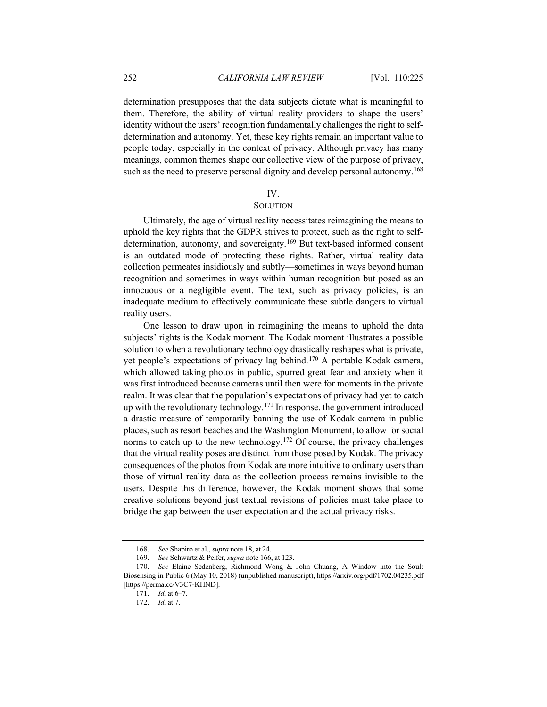determination presupposes that the data subjects dictate what is meaningful to them. Therefore, the ability of virtual reality providers to shape the users' identity without the users' recognition fundamentally challenges the right to selfdetermination and autonomy. Yet, these key rights remain an important value to people today, especially in the context of privacy. Although privacy has many meanings, common themes shape our collective view of the purpose of privacy, such as the need to preserve personal dignity and develop personal autonomy.<sup>[168](#page-27-0)</sup>

#### IV.

## **SOLUTION**

Ultimately, the age of virtual reality necessitates reimagining the means to uphold the key rights that the GDPR strives to protect, such as the right to self-determination, autonomy, and sovereignty.<sup>[169](#page-27-1)</sup> But text-based informed consent is an outdated mode of protecting these rights. Rather, virtual reality data collection permeates insidiously and subtly—sometimes in ways beyond human recognition and sometimes in ways within human recognition but posed as an innocuous or a negligible event. The text, such as privacy policies, is an inadequate medium to effectively communicate these subtle dangers to virtual reality users.

One lesson to draw upon in reimagining the means to uphold the data subjects' rights is the Kodak moment. The Kodak moment illustrates a possible solution to when a revolutionary technology drastically reshapes what is private, yet people's expectations of privacy lag behind.[170](#page-27-2) A portable Kodak camera, which allowed taking photos in public, spurred great fear and anxiety when it was first introduced because cameras until then were for moments in the private realm. It was clear that the population's expectations of privacy had yet to catch up with the revolutionary technology.<sup>[171](#page-27-3)</sup> In response, the government introduced a drastic measure of temporarily banning the use of Kodak camera in public places, such as resort beaches and the Washington Monument, to allow for social norms to catch up to the new technology.<sup>[172](#page-27-4)</sup> Of course, the privacy challenges that the virtual reality poses are distinct from those posed by Kodak. The privacy consequences of the photos from Kodak are more intuitive to ordinary users than those of virtual reality data as the collection process remains invisible to the users. Despite this difference, however, the Kodak moment shows that some creative solutions beyond just textual revisions of policies must take place to bridge the gap between the user expectation and the actual privacy risks.

<sup>168.</sup> *See* Shapiro et al., *supra* not[e 18,](#page-4-5) at 24.

<sup>169.</sup> *See* Schwartz & Peifer, *supra* not[e 166,](#page-26-7) at 123.

<span id="page-27-4"></span><span id="page-27-3"></span><span id="page-27-2"></span><span id="page-27-1"></span><span id="page-27-0"></span><sup>170.</sup> *See* Elaine Sedenberg, Richmond Wong & John Chuang, A Window into the Soul: Biosensing in Public 6 (May 10, 2018) (unpublished manuscript), https://arxiv.org/pdf/1702.04235.pdf [https://perma.cc/V3C7-KHND].

<sup>171.</sup> *Id.* at 6–7.

<sup>172.</sup> *Id.* at 7.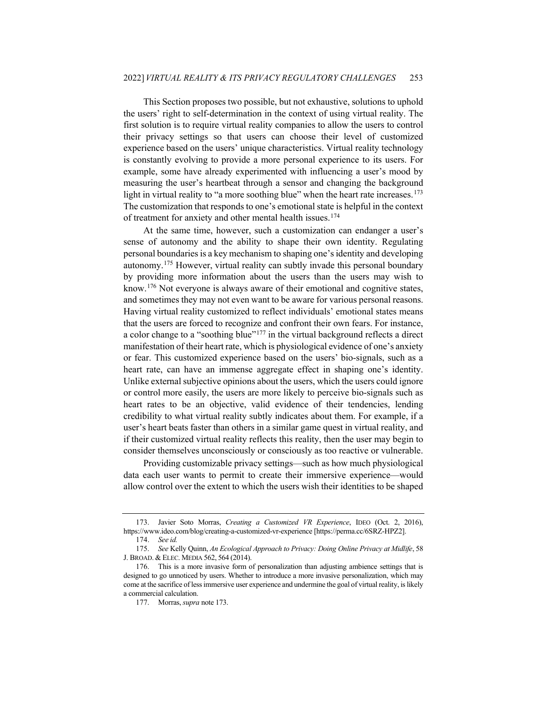This Section proposes two possible, but not exhaustive, solutions to uphold the users' right to self-determination in the context of using virtual reality. The first solution is to require virtual reality companies to allow the users to control their privacy settings so that users can choose their level of customized experience based on the users' unique characteristics. Virtual reality technology is constantly evolving to provide a more personal experience to its users. For example, some have already experimented with influencing a user's mood by measuring the user's heartbeat through a sensor and changing the background light in virtual reality to "a more soothing blue" when the heart rate increases.<sup>[173](#page-28-1)</sup> The customization that responds to one's emotional state is helpful in the context of treatment for anxiety and other mental health issues.[174](#page-28-2)

<span id="page-28-0"></span>At the same time, however, such a customization can endanger a user's sense of autonomy and the ability to shape their own identity. Regulating personal boundaries is a key mechanism to shaping one's identity and developing autonomy.[175](#page-28-3) However, virtual reality can subtly invade this personal boundary by providing more information about the users than the users may wish to know.[176](#page-28-4) Not everyone is always aware of their emotional and cognitive states, and sometimes they may not even want to be aware for various personal reasons. Having virtual reality customized to reflect individuals' emotional states means that the users are forced to recognize and confront their own fears. For instance, a color change to a "soothing blue"<sup>[177](#page-28-5)</sup> in the virtual background reflects a direct manifestation of their heart rate, which is physiological evidence of one's anxiety or fear. This customized experience based on the users' bio-signals, such as a heart rate, can have an immense aggregate effect in shaping one's identity. Unlike external subjective opinions about the users, which the users could ignore or control more easily, the users are more likely to perceive bio-signals such as heart rates to be an objective, valid evidence of their tendencies, lending credibility to what virtual reality subtly indicates about them. For example, if a user's heart beats faster than others in a similar game quest in virtual reality, and if their customized virtual reality reflects this reality, then the user may begin to consider themselves unconsciously or consciously as too reactive or vulnerable.

Providing customizable privacy settings—such as how much physiological data each user wants to permit to create their immersive experience—would allow control over the extent to which the users wish their identities to be shaped

<span id="page-28-1"></span><sup>173.</sup> Javier Soto Morras, *Creating a Customized VR Experience*, IDEO (Oct. 2, 2016), https://www.ideo.com/blog/creating-a-customized-vr-experience [https://perma.cc/6SRZ-HPZ2].

<sup>174.</sup> *See id.*

<span id="page-28-3"></span><span id="page-28-2"></span><sup>175.</sup> *See* Kelly Quinn, *An Ecological Approach to Privacy: Doing Online Privacy at Midlife*, 58 J. BROAD. & ELEC. MEDIA 562, 564 (2014).

<span id="page-28-5"></span><span id="page-28-4"></span><sup>176.</sup> This is a more invasive form of personalization than adjusting ambience settings that is designed to go unnoticed by users. Whether to introduce a more invasive personalization, which may come at the sacrifice of less immersive user experience and undermine the goal of virtual reality, is likely a commercial calculation.

<sup>177.</sup> Morras, *supra* not[e 173.](#page-28-0)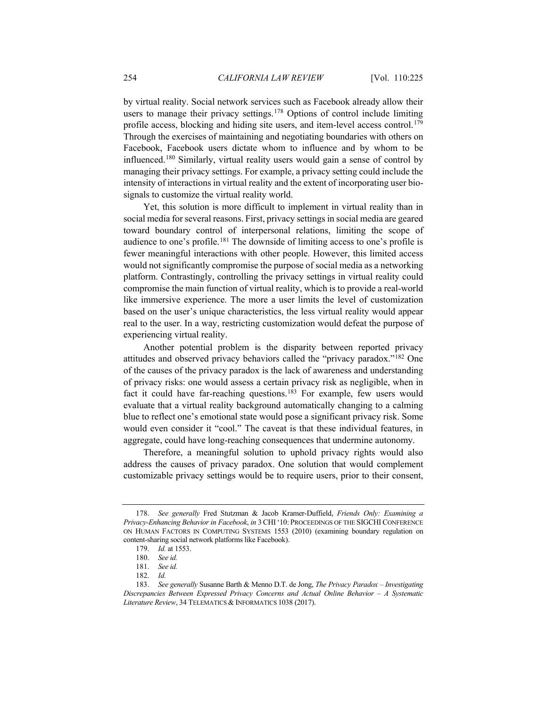by virtual reality. Social network services such as Facebook already allow their users to manage their privacy settings.<sup>[178](#page-29-0)</sup> Options of control include limiting profile access, blocking and hiding site users, and item-level access control.<sup>[179](#page-29-1)</sup> Through the exercises of maintaining and negotiating boundaries with others on Facebook, Facebook users dictate whom to influence and by whom to be influenced.[180](#page-29-2) Similarly, virtual reality users would gain a sense of control by managing their privacy settings. For example, a privacy setting could include the intensity of interactions in virtual reality and the extent of incorporating user biosignals to customize the virtual reality world.

Yet, this solution is more difficult to implement in virtual reality than in social media for several reasons. First, privacy settings in social media are geared toward boundary control of interpersonal relations, limiting the scope of audience to one's profile.<sup>[181](#page-29-3)</sup> The downside of limiting access to one's profile is fewer meaningful interactions with other people. However, this limited access would not significantly compromise the purpose of social media as a networking platform. Contrastingly, controlling the privacy settings in virtual reality could compromise the main function of virtual reality, which is to provide a real-world like immersive experience. The more a user limits the level of customization based on the user's unique characteristics, the less virtual reality would appear real to the user. In a way, restricting customization would defeat the purpose of experiencing virtual reality.

Another potential problem is the disparity between reported privacy attitudes and observed privacy behaviors called the "privacy paradox."[182](#page-29-4) One of the causes of the privacy paradox is the lack of awareness and understanding of privacy risks: one would assess a certain privacy risk as negligible, when in fact it could have far-reaching questions.<sup>[183](#page-29-5)</sup> For example, few users would evaluate that a virtual reality background automatically changing to a calming blue to reflect one's emotional state would pose a significant privacy risk. Some would even consider it "cool." The caveat is that these individual features, in aggregate, could have long-reaching consequences that undermine autonomy.

Therefore, a meaningful solution to uphold privacy rights would also address the causes of privacy paradox. One solution that would complement customizable privacy settings would be to require users, prior to their consent,

<span id="page-29-1"></span><span id="page-29-0"></span><sup>178.</sup> *See generally* Fred Stutzman & Jacob Kramer-Duffield, *Friends Only: Examining a Privacy-Enhancing Behavior in Facebook*, *in* 3 CHI '10: PROCEEDINGS OF THE SIGCHI CONFERENCE ON HUMAN FACTORS IN COMPUTING SYSTEMS 1553 (2010) (examining boundary regulation on content-sharing social network platforms like Facebook).

<sup>179.</sup> *Id.* at 1553.

<sup>180.</sup> *See id.*

<sup>181.</sup> *See id.*

<sup>182.</sup> *Id.*

<span id="page-29-5"></span><span id="page-29-4"></span><span id="page-29-3"></span><span id="page-29-2"></span><sup>183.</sup> *See generally* Susanne Barth & Menno D.T. de Jong, *The Privacy Paradox – Investigating Discrepancies Between Expressed Privacy Concerns and Actual Online Behavior – A Systematic Literature Review*, 34 TELEMATICS & INFORMATICS 1038 (2017).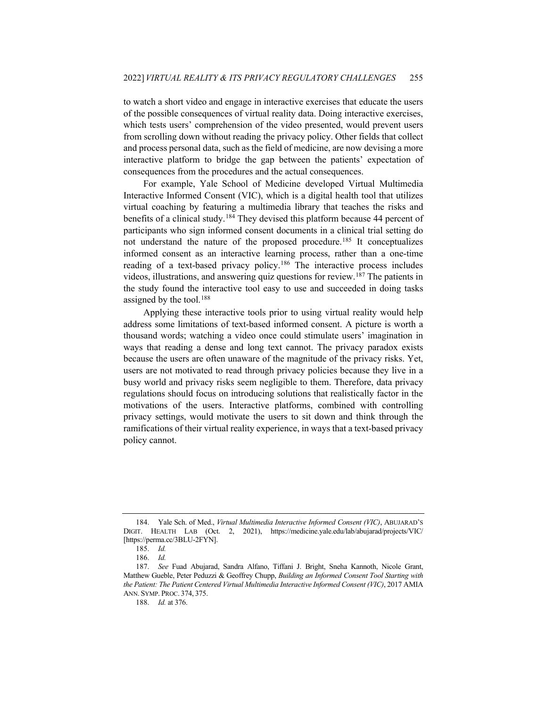to watch a short video and engage in interactive exercises that educate the users of the possible consequences of virtual reality data. Doing interactive exercises, which tests users' comprehension of the video presented, would prevent users from scrolling down without reading the privacy policy. Other fields that collect and process personal data, such as the field of medicine, are now devising a more interactive platform to bridge the gap between the patients' expectation of consequences from the procedures and the actual consequences.

For example, Yale School of Medicine developed Virtual Multimedia Interactive Informed Consent (VIC), which is a digital health tool that utilizes virtual coaching by featuring a multimedia library that teaches the risks and benefits of a clinical study.[184](#page-30-0) They devised this platform because 44 percent of participants who sign informed consent documents in a clinical trial setting do not understand the nature of the proposed procedure.[185](#page-30-1) It conceptualizes informed consent as an interactive learning process, rather than a one-time reading of a text-based privacy policy.<sup>[186](#page-30-2)</sup> The interactive process includes videos, illustrations, and answering quiz questions for review.[187](#page-30-3) The patients in the study found the interactive tool easy to use and succeeded in doing tasks assigned by the tool.<sup>[188](#page-30-4)</sup>

Applying these interactive tools prior to using virtual reality would help address some limitations of text-based informed consent. A picture is worth a thousand words; watching a video once could stimulate users' imagination in ways that reading a dense and long text cannot. The privacy paradox exists because the users are often unaware of the magnitude of the privacy risks. Yet, users are not motivated to read through privacy policies because they live in a busy world and privacy risks seem negligible to them. Therefore, data privacy regulations should focus on introducing solutions that realistically factor in the motivations of the users. Interactive platforms, combined with controlling privacy settings, would motivate the users to sit down and think through the ramifications of their virtual reality experience, in ways that a text-based privacy policy cannot.

<span id="page-30-0"></span><sup>184.</sup> Yale Sch. of Med., *Virtual Multimedia Interactive Informed Consent (VIC)*, ABUJARAD'S DIGIT. HEALTH LAB (Oct. 2, 2021), https://medicine.yale.edu/lab/abujarad/projects/VIC/ [https://perma.cc/3BLU-2FYN].

<sup>185.</sup> *Id.*

<sup>186.</sup> *Id.*

<span id="page-30-4"></span><span id="page-30-3"></span><span id="page-30-2"></span><span id="page-30-1"></span><sup>187.</sup> *See* Fuad Abujarad, Sandra Alfano, Tiffani J. Bright, Sneha Kannoth, Nicole Grant, Matthew Gueble, Peter Peduzzi & Geoffrey Chupp, *Building an Informed Consent Tool Starting with the Patient: The Patient Centered Virtual Multimedia Interactive Informed Consent (VIC)*, 2017 AMIA ANN. SYMP. PROC. 374, 375.

<sup>188.</sup> *Id.* at 376.